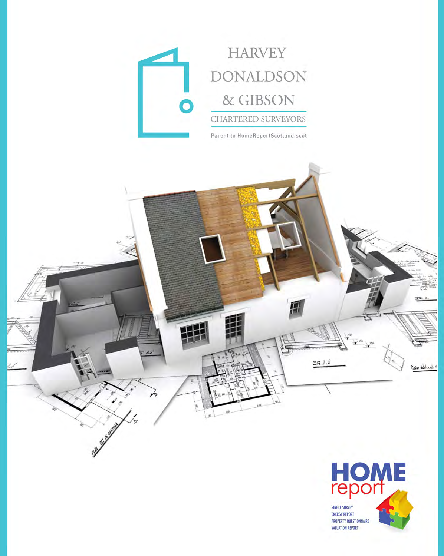



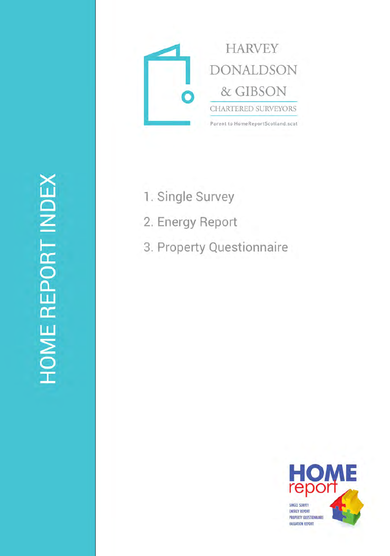

- 1. Single Survey
- 2. Energy Report
- 3. Property Questionnaire

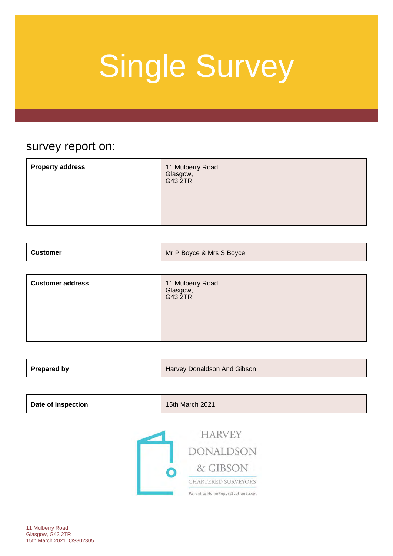### survey report on:

| <b>Property address</b><br>11 Mulberry Road,<br>Glasgow,<br>G43 2TR |  |
|---------------------------------------------------------------------|--|
|---------------------------------------------------------------------|--|

| <b>Customer</b> | Mr P Boyce & Mrs S Boyce |
|-----------------|--------------------------|
|-----------------|--------------------------|

| <b>Customer address</b> | 11 Mulberry Road,<br>Glasgow,<br>G43 2TR |
|-------------------------|------------------------------------------|
|-------------------------|------------------------------------------|

| <b>Prepared by</b><br>Harvey Donaldson And Gibson |
|---------------------------------------------------|
|---------------------------------------------------|

| Date of inspection | 15th March 2021 |
|--------------------|-----------------|
|--------------------|-----------------|

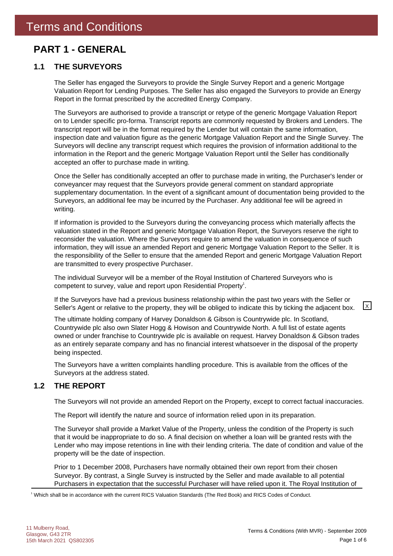### **PART 1 - GENERAL**

### **1.1 THE SURVEYORS**

The Seller has engaged the Surveyors to provide the Single Survey Report and a generic Mortgage Valuation Report for Lending Purposes. The Seller has also engaged the Surveyors to provide an Energy Report in the format prescribed by the accredited Energy Company.

The Surveyors are authorised to provide a transcript or retype of the generic Mortgage Valuation Report on to Lender specific pro-forma. Transcript reports are commonly requested by Brokers and Lenders. The transcript report will be in the format required by the Lender but will contain the same information, inspection date and valuation figure as the generic Mortgage Valuation Report and the Single Survey. The Surveyors will decline any transcript request which requires the provision of information additional to the information in the Report and the generic Mortgage Valuation Report until the Seller has conditionally accepted an offer to purchase made in writing.

Once the Seller has conditionally accepted an offer to purchase made in writing, the Purchaser's lender or conveyancer may request that the Surveyors provide general comment on standard appropriate supplementary documentation. In the event of a significant amount of documentation being provided to the Surveyors, an additional fee may be incurred by the Purchaser. Any additional fee will be agreed in writing.

If information is provided to the Surveyors during the conveyancing process which materially affects the valuation stated in the Report and generic Mortgage Valuation Report, the Surveyors reserve the right to reconsider the valuation. Where the Surveyors require to amend the valuation in consequence of such information, they will issue an amended Report and generic Mortgage Valuation Report to the Seller. It is the responsibility of the Seller to ensure that the amended Report and generic Mortgage Valuation Report are transmitted to every prospective Purchaser.

The individual Surveyor will be a member of the Royal Institution of Chartered Surveyors who is competent to survey, value and report upon Residential Property<sup>1</sup>.

If the Surveyors have had a previous business relationship within the past two years with the Seller or Seller's Agent or relative to the property, they will be obliged to indicate this by ticking the adjacent box.  $\boxed{\times}$ 

The ultimate holding company of Harvey Donaldson & Gibson is Countrywide plc. In Scotland, Countrywide plc also own Slater Hogg & Howison and Countrywide North. A full list of estate agents owned or under franchise to Countrywide plc is available on request. Harvey Donaldson & Gibson trades as an entirely separate company and has no financial interest whatsoever in the disposal of the property being inspected.

The Surveyors have a written complaints handling procedure. This is available from the offices of the Surveyors at the address stated.

### **1.2 THE REPORT**

The Surveyors will not provide an amended Report on the Property, except to correct factual inaccuracies.

The Report will identify the nature and source of information relied upon in its preparation.

The Surveyor shall provide a Market Value of the Property, unless the condition of the Property is such that it would be inappropriate to do so. A final decision on whether a loan will be granted rests with the Lender who may impose retentions in line with their lending criteria. The date of condition and value of the property will be the date of inspection.

Prior to 1 December 2008, Purchasers have normally obtained their own report from their chosen Surveyor. By contrast, a Single Survey is instructed by the Seller and made available to all potential Purchasers in expectation that the successful Purchaser will have relied upon it. The Royal Institution of

1 Which shall be in accordance with the current RICS Valuation Standards (The Red Book) and RICS Codes of Conduct.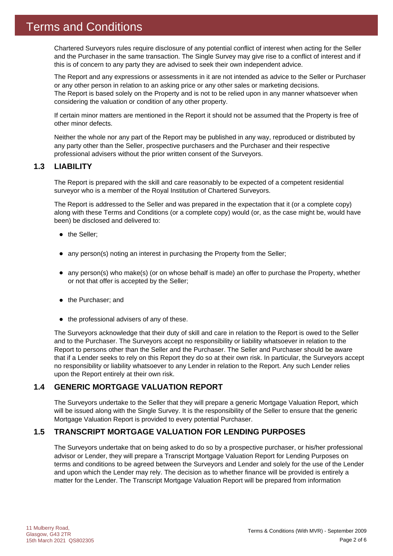Chartered Surveyors rules require disclosure of any potential conflict of interest when acting for the Seller and the Purchaser in the same transaction. The Single Survey may give rise to a conflict of interest and if this is of concern to any party they are advised to seek their own independent advice.

The Report and any expressions or assessments in it are not intended as advice to the Seller or Purchaser or any other person in relation to an asking price or any other sales or marketing decisions. The Report is based solely on the Property and is not to be relied upon in any manner whatsoever when considering the valuation or condition of any other property.

If certain minor matters are mentioned in the Report it should not be assumed that the Property is free of other minor defects.

Neither the whole nor any part of the Report may be published in any way, reproduced or distributed by any party other than the Seller, prospective purchasers and the Purchaser and their respective professional advisers without the prior written consent of the Surveyors.

### **1.3 LIABILITY**

The Report is prepared with the skill and care reasonably to be expected of a competent residential surveyor who is a member of the Royal Institution of Chartered Surveyors.

The Report is addressed to the Seller and was prepared in the expectation that it (or a complete copy) along with these Terms and Conditions (or a complete copy) would (or, as the case might be, would have been) be disclosed and delivered to:

- the Seller;
- any person(s) noting an interest in purchasing the Property from the Seller;
- any person(s) who make(s) (or on whose behalf is made) an offer to purchase the Property, whether or not that offer is accepted by the Seller;
- the Purchaser; and
- $\bullet$  the professional advisers of any of these.

The Surveyors acknowledge that their duty of skill and care in relation to the Report is owed to the Seller and to the Purchaser. The Surveyors accept no responsibility or liability whatsoever in relation to the Report to persons other than the Seller and the Purchaser. The Seller and Purchaser should be aware that if a Lender seeks to rely on this Report they do so at their own risk. In particular, the Surveyors accept no responsibility or liability whatsoever to any Lender in relation to the Report. Any such Lender relies upon the Report entirely at their own risk.

### **1.4 GENERIC MORTGAGE VALUATION REPORT**

The Surveyors undertake to the Seller that they will prepare a generic Mortgage Valuation Report, which will be issued along with the Single Survey. It is the responsibility of the Seller to ensure that the generic Mortgage Valuation Report is provided to every potential Purchaser.

### **1.5 TRANSCRIPT MORTGAGE VALUATION FOR LENDING PURPOSES**

The Surveyors undertake that on being asked to do so by a prospective purchaser, or his/her professional advisor or Lender, they will prepare a Transcript Mortgage Valuation Report for Lending Purposes on terms and conditions to be agreed between the Surveyors and Lender and solely for the use of the Lender and upon which the Lender may rely. The decision as to whether finance will be provided is entirely a matter for the Lender. The Transcript Mortgage Valuation Report will be prepared from information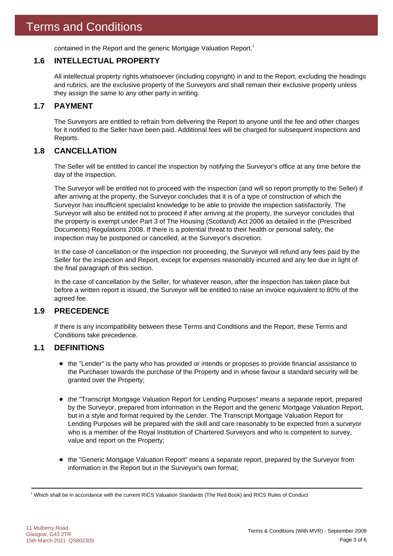contained in the Report and the generic Mortgage Valuation Report.<sup>2</sup>

### **1.6 INTELLECTUAL PROPERTY**

All intellectual property rights whatsoever (including copyright) in and to the Report, excluding the headings and rubrics, are the exclusive property of the Surveyors and shall remain their exclusive property unless they assign the same to any other party in writing.

### **1.7 PAYMENT**

The Surveyors are entitled to refrain from delivering the Report to anyone until the fee and other charges for it notified to the Seller have been paid. Additional fees will be charged for subsequent inspections and Reports.

### **1.8 CANCELLATION**

The Seller will be entitled to cancel the inspection by notifying the Surveyor's office at any time before the day of the inspection.

The Surveyor will be entitled not to proceed with the inspection (and will so report promptly to the Seller) if after arriving at the property, the Surveyor concludes that it is of a type of construction of which the Surveyor has insufficient specialist knowledge to be able to provide the inspection satisfactorily. The Surveyor will also be entitled not to proceed if after arriving at the property, the surveyor concludes that the property is exempt under Part 3 of The Housing (Scotland) Act 2006 as detailed in the (Prescribed Documents) Regulations 2008. If there is a potential threat to their health or personal safety, the inspection may be postponed or cancelled, at the Surveyor's discretion.

In the case of cancellation or the inspection not proceeding, the Surveyor will refund any fees paid by the Seller for the inspection and Report, except for expenses reasonably incurred and any fee due in light of the final paragraph of this section.

In the case of cancellation by the Seller, for whatever reason, after the inspection has taken place but before a written report is issued, the Surveyor will be entitled to raise an invoice equivalent to 80% of the agreed fee.

### **1.9 PRECEDENCE**

If there is any incompatibility between these Terms and Conditions and the Report, these Terms and Conditions take precedence.

### **1.1 DEFINITIONS**

- the "Lender" is the party who has provided or intends or proposes to provide financial assistance to the Purchaser towards the purchase of the Property and in whose favour a standard security will be granted over the Property;
- the "Transcript Mortgage Valuation Report for Lending Purposes" means a separate report, prepared by the Surveyor, prepared from information in the Report and the generic Mortgage Valuation Report, but in a style and format required by the Lender. The Transcript Mortgage Valuation Report for Lending Purposes will be prepared with the skill and care reasonably to be expected from a surveyor who is a member of the Royal Institution of Chartered Surveyors and who is competent to survey, value and report on the Property;
- the "Generic Mortgage Valuation Report" means a separate report, prepared by the Surveyor from information in the Report but in the Surveyor's own format;

 $^2$  Which shall be in accordance with the current RICS Valuation Standards (The Red Book) and RICS Rules of Conduct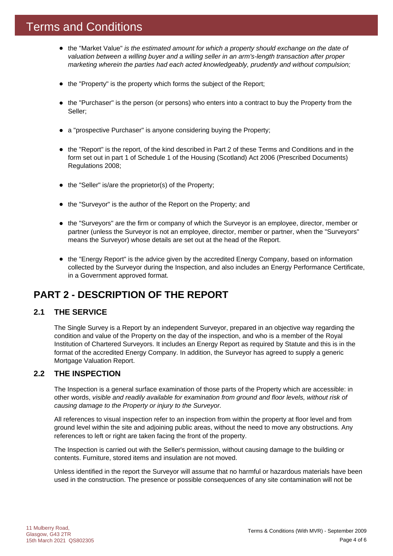### Terms and Conditions

- the "Market Value" *is the estimated amount for which a property should exchange on the date of valuation between a willing buyer and a willing seller in an arm's-length transaction after proper marketing wherein the parties had each acted knowledgeably, prudently and without compulsion;*
- the "Property" is the property which forms the subject of the Report;
- the "Purchaser" is the person (or persons) who enters into a contract to buy the Property from the Seller;
- a "prospective Purchaser" is anyone considering buying the Property;
- the "Report" is the report, of the kind described in Part 2 of these Terms and Conditions and in the form set out in part 1 of Schedule 1 of the Housing (Scotland) Act 2006 (Prescribed Documents) Regulations 2008;
- $\bullet$  the "Seller" is/are the proprietor(s) of the Property;
- the "Surveyor" is the author of the Report on the Property; and
- the "Surveyors" are the firm or company of which the Surveyor is an employee, director, member or partner (unless the Surveyor is not an employee, director, member or partner, when the "Surveyors" means the Surveyor) whose details are set out at the head of the Report.
- the "Energy Report" is the advice given by the accredited Energy Company, based on information collected by the Surveyor during the Inspection, and also includes an Energy Performance Certificate, in a Government approved format.

### **PART 2 - DESCRIPTION OF THE REPORT**

### **2.1 THE SERVICE**

The Single Survey is a Report by an independent Surveyor, prepared in an objective way regarding the condition and value of the Property on the day of the inspection, and who is a member of the Royal Institution of Chartered Surveyors. It includes an Energy Report as required by Statute and this is in the format of the accredited Energy Company. In addition, the Surveyor has agreed to supply a generic Mortgage Valuation Report.

### **2.2 THE INSPECTION**

The Inspection is a general surface examination of those parts of the Property which are accessible: in other words, *visible and readily available for examination from ground and floor levels, without risk of causing damage to the Property or injury to the Surveyor.*

All references to visual inspection refer to an inspection from within the property at floor level and from ground level within the site and adjoining public areas, without the need to move any obstructions. Any references to left or right are taken facing the front of the property.

The Inspection is carried out with the Seller's permission, without causing damage to the building or contents. Furniture, stored items and insulation are not moved.

Unless identified in the report the Surveyor will assume that no harmful or hazardous materials have been used in the construction. The presence or possible consequences of any site contamination will not be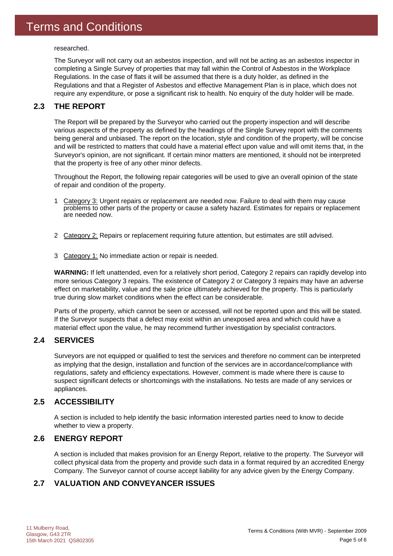researched.

The Surveyor will not carry out an asbestos inspection, and will not be acting as an asbestos inspector in completing a Single Survey of properties that may fall within the Control of Asbestos in the Workplace Regulations. In the case of flats it will be assumed that there is a duty holder, as defined in the Regulations and that a Register of Asbestos and effective Management Plan is in place, which does not require any expenditure, or pose a significant risk to health. No enquiry of the duty holder will be made.

### **2.3 THE REPORT**

The Report will be prepared by the Surveyor who carried out the property inspection and will describe various aspects of the property as defined by the headings of the Single Survey report with the comments being general and unbiased. The report on the location, style and condition of the property, will be concise and will be restricted to matters that could have a material effect upon value and will omit items that, in the Surveyor's opinion, are not significant. If certain minor matters are mentioned, it should not be interpreted that the property is free of any other minor defects.

Throughout the Report, the following repair categories will be used to give an overall opinion of the state of repair and condition of the property.

- 1 Category 3: Urgent repairs or replacement are needed now. Failure to deal with them may cause problems to other parts of the property or cause a safety hazard. Estimates for repairs or replacement are needed now.
- 2 Category 2: Repairs or replacement requiring future attention, but estimates are still advised.
- 3 Category 1: No immediate action or repair is needed.

**WARNING:** If left unattended, even for a relatively short period, Category 2 repairs can rapidly develop into more serious Category 3 repairs. The existence of Category 2 or Category 3 repairs may have an adverse effect on marketability, value and the sale price ultimately achieved for the property. This is particularly true during slow market conditions when the effect can be considerable.

Parts of the property, which cannot be seen or accessed, will not be reported upon and this will be stated. If the Surveyor suspects that a defect may exist within an unexposed area and which could have a material effect upon the value, he may recommend further investigation by specialist contractors.

### **2.4 SERVICES**

Surveyors are not equipped or qualified to test the services and therefore no comment can be interpreted as implying that the design, installation and function of the services are in accordance/compliance with regulations, safety and efficiency expectations. However, comment is made where there is cause to suspect significant defects or shortcomings with the installations. No tests are made of any services or appliances.

### **2.5 ACCESSIBILITY**

A section is included to help identify the basic information interested parties need to know to decide whether to view a property.

### **2.6 ENERGY REPORT**

A section is included that makes provision for an Energy Report, relative to the property. The Surveyor will collect physical data from the property and provide such data in a format required by an accredited Energy Company. The Surveyor cannot of course accept liability for any advice given by the Energy Company.

### **2.7 VALUATION AND CONVEYANCER ISSUES**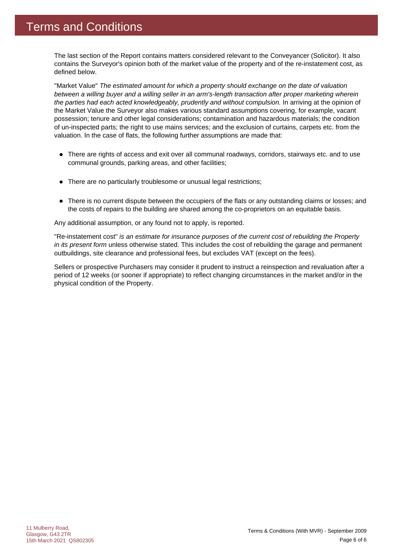The last section of the Report contains matters considered relevant to the Conveyancer (Solicitor). It also contains the Surveyor's opinion both of the market value of the property and of the re-instatement cost, as defined below.

"Market Value" *The estimated amount for which a property should exchange on the date of valuation between a willing buyer and a willing seller in an arm's-length transaction after proper marketing wherein the parties had each acted knowledgeably, prudently and without compulsion.* In arriving at the opinion of the Market Value the Surveyor also makes various standard assumptions covering, for example, vacant possession; tenure and other legal considerations; contamination and hazardous materials; the condition of un-inspected parts; the right to use mains services; and the exclusion of curtains, carpets etc. from the valuation. In the case of flats, the following further assumptions are made that:

- There are rights of access and exit over all communal roadways, corridors, stairways etc. and to use communal grounds, parking areas, and other facilities;
- There are no particularly troublesome or unusual legal restrictions;
- There is no current dispute between the occupiers of the flats or any outstanding claims or losses; and the costs of repairs to the building are shared among the co-proprietors on an equitable basis.

Any additional assumption, or any found not to apply, is reported.

"Re-instatement cost" *is an estimate for insurance purposes of the current cost of rebuilding the Property in its present form* unless otherwise stated. This includes the cost of rebuilding the garage and permanent outbuildings, site clearance and professional fees, but excludes VAT (except on the fees).

Sellers or prospective Purchasers may consider it prudent to instruct a reinspection and revaluation after a period of 12 weeks (or sooner if appropriate) to reflect changing circumstances in the market and/or in the physical condition of the Property.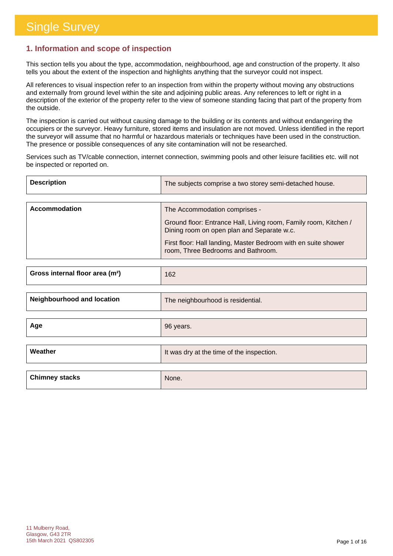### **1. Information and scope of inspection**

This section tells you about the type, accommodation, neighbourhood, age and construction of the property. It also tells you about the extent of the inspection and highlights anything that the surveyor could not inspect.

All references to visual inspection refer to an inspection from within the property without moving any obstructions and externally from ground level within the site and adjoining public areas. Any references to left or right in a description of the exterior of the property refer to the view of someone standing facing that part of the property from the outside.

The inspection is carried out without causing damage to the building or its contents and without endangering the occupiers or the surveyor. Heavy furniture, stored items and insulation are not moved. Unless identified in the report the surveyor will assume that no harmful or hazardous materials or techniques have been used in the construction. The presence or possible consequences of any site contamination will not be researched.

Services such as TV/cable connection, internet connection, swimming pools and other leisure facilities etc. will not be inspected or reported on.

| The subjects comprise a two storey semi-detached house.                                                        |
|----------------------------------------------------------------------------------------------------------------|
|                                                                                                                |
| The Accommodation comprises -                                                                                  |
| Ground floor: Entrance Hall, Living room, Family room, Kitchen /<br>Dining room on open plan and Separate w.c. |
| First floor: Hall landing, Master Bedroom with en suite shower<br>room, Three Bedrooms and Bathroom.           |
|                                                                                                                |

| Gross internal floor area (m <sup>2</sup> ) | 162 |
|---------------------------------------------|-----|
|                                             |     |

| <b>Neighbourhood and location</b> | The neighbourhood is residential.         |
|-----------------------------------|-------------------------------------------|
|                                   |                                           |
| Age                               | 96 years.                                 |
|                                   |                                           |
| Weather                           | It was dry at the time of the inspection. |
|                                   |                                           |
| <b>Chimney stacks</b>             | None.                                     |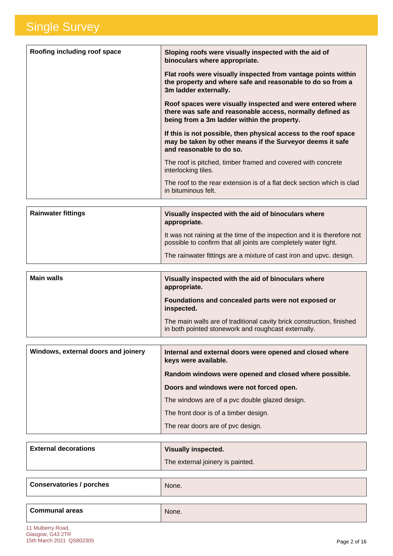| Roofing including roof space | Sloping roofs were visually inspected with the aid of<br>binoculars where appropriate.                                                                                 |
|------------------------------|------------------------------------------------------------------------------------------------------------------------------------------------------------------------|
|                              | Flat roofs were visually inspected from vantage points within<br>the property and where safe and reasonable to do so from a<br>3m ladder externally.                   |
|                              | Roof spaces were visually inspected and were entered where<br>there was safe and reasonable access, normally defined as<br>being from a 3m ladder within the property. |
|                              | If this is not possible, then physical access to the roof space<br>may be taken by other means if the Surveyor deems it safe<br>and reasonable to do so.               |
|                              | The roof is pitched, timber framed and covered with concrete<br>interlocking tiles.                                                                                    |
|                              | The roof to the rear extension is of a flat deck section which is clad<br>in bituminous felt.                                                                          |
|                              |                                                                                                                                                                        |

| <b>Rainwater fittings</b> | Visually inspected with the aid of binoculars where<br>appropriate.                                                                         |
|---------------------------|---------------------------------------------------------------------------------------------------------------------------------------------|
|                           | It was not raining at the time of the inspection and it is therefore not<br>possible to confirm that all joints are completely water tight. |
|                           | The rainwater fittings are a mixture of cast iron and upvc. design.                                                                         |
|                           |                                                                                                                                             |
|                           |                                                                                                                                             |

| <b>Main walls</b> | Visually inspected with the aid of binoculars where<br>appropriate.                                                          |
|-------------------|------------------------------------------------------------------------------------------------------------------------------|
|                   | Foundations and concealed parts were not exposed or<br>inspected.                                                            |
|                   | The main walls are of traditional cavity brick construction, finished<br>in both pointed stonework and roughcast externally. |

| Windows, external doors and joinery | Internal and external doors were opened and closed where<br>keys were available. |
|-------------------------------------|----------------------------------------------------------------------------------|
|                                     | Random windows were opened and closed where possible.                            |
|                                     | Doors and windows were not forced open.                                          |
|                                     | The windows are of a pvc double glazed design.                                   |
|                                     | The front door is of a timber design.                                            |
|                                     | The rear doors are of pvc design.                                                |

| <b>External decorations</b> | <b>Visually inspected.</b>       |
|-----------------------------|----------------------------------|
|                             | The external joinery is painted. |
|                             |                                  |

| <b>Conservatories / porches</b> | None. |
|---------------------------------|-------|
|                                 |       |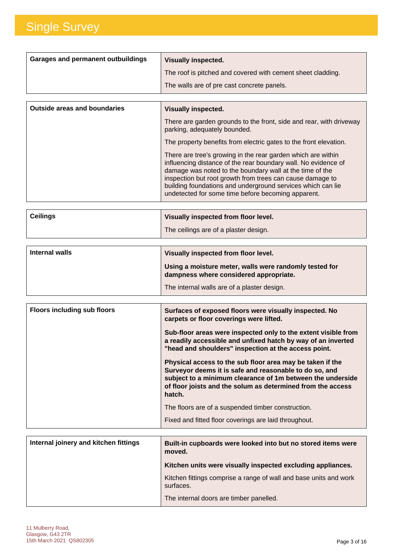| Garages and permanent outbuildings | Visually inspected.                                         |
|------------------------------------|-------------------------------------------------------------|
|                                    | The roof is pitched and covered with cement sheet cladding. |
|                                    | The walls are of pre cast concrete panels.                  |

| <b>Outside areas and boundaries</b> | <b>Visually inspected.</b>                                                                                                                                                                                                                                                                                                                                                   |
|-------------------------------------|------------------------------------------------------------------------------------------------------------------------------------------------------------------------------------------------------------------------------------------------------------------------------------------------------------------------------------------------------------------------------|
|                                     | There are garden grounds to the front, side and rear, with driveway<br>parking, adequately bounded.                                                                                                                                                                                                                                                                          |
|                                     | The property benefits from electric gates to the front elevation.                                                                                                                                                                                                                                                                                                            |
|                                     | There are tree's growing in the rear garden which are within<br>influencing distance of the rear boundary wall. No evidence of<br>damage was noted to the boundary wall at the time of the<br>inspection but root growth from trees can cause damage to<br>building foundations and underground services which can lie<br>undetected for some time before becoming apparent. |

| <b>Ceilings</b> | Visually inspected from floor level.  |
|-----------------|---------------------------------------|
|                 | The ceilings are of a plaster design. |

| Internal walls | Visually inspected from floor level.                                                             |
|----------------|--------------------------------------------------------------------------------------------------|
|                | Using a moisture meter, walls were randomly tested for<br>dampness where considered appropriate. |
|                | The internal walls are of a plaster design.                                                      |

| <b>Floors including sub floors</b> | Surfaces of exposed floors were visually inspected. No<br>carpets or floor coverings were lifted.                                                                                                                                                          |
|------------------------------------|------------------------------------------------------------------------------------------------------------------------------------------------------------------------------------------------------------------------------------------------------------|
|                                    | Sub-floor areas were inspected only to the extent visible from<br>a readily accessible and unfixed hatch by way of an inverted<br>"head and shoulders" inspection at the access point.                                                                     |
|                                    | Physical access to the sub floor area may be taken if the<br>Surveyor deems it is safe and reasonable to do so, and<br>subject to a minimum clearance of 1m between the underside<br>of floor joists and the solum as determined from the access<br>hatch. |
|                                    | The floors are of a suspended timber construction.                                                                                                                                                                                                         |
|                                    | Fixed and fitted floor coverings are laid throughout.                                                                                                                                                                                                      |

| Internal joinery and kitchen fittings | Built-in cupboards were looked into but no stored items were<br>moved.         |
|---------------------------------------|--------------------------------------------------------------------------------|
|                                       | Kitchen units were visually inspected excluding appliances.                    |
|                                       | Kitchen fittings comprise a range of wall and base units and work<br>surfaces. |
|                                       | The internal doors are timber panelled.                                        |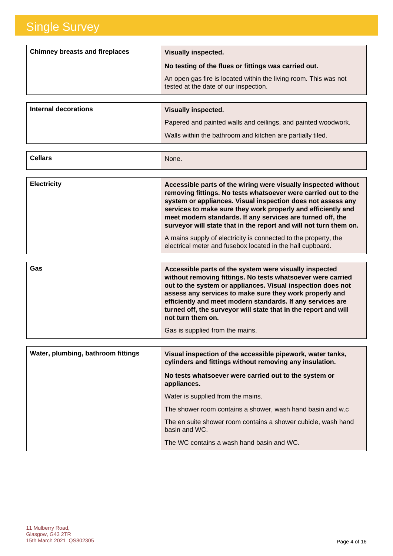| <b>Chimney breasts and fireplaces</b> | <b>Visually inspected.</b>                                                                                |
|---------------------------------------|-----------------------------------------------------------------------------------------------------------|
|                                       | No testing of the flues or fittings was carried out.                                                      |
|                                       | An open gas fire is located within the living room. This was not<br>tested at the date of our inspection. |

| Internal decorations | <b>Visually inspected.</b>                                    |
|----------------------|---------------------------------------------------------------|
|                      | Papered and painted walls and ceilings, and painted woodwork. |
|                      | Walls within the bathroom and kitchen are partially tiled.    |

| <b>Cellars</b> | None. |
|----------------|-------|
|                |       |

| <b>Electricity</b> | Accessible parts of the wiring were visually inspected without<br>removing fittings. No tests whatsoever were carried out to the<br>system or appliances. Visual inspection does not assess any<br>services to make sure they work properly and efficiently and<br>meet modern standards. If any services are turned off, the<br>surveyor will state that in the report and will not turn them on. |
|--------------------|----------------------------------------------------------------------------------------------------------------------------------------------------------------------------------------------------------------------------------------------------------------------------------------------------------------------------------------------------------------------------------------------------|
|                    | A mains supply of electricity is connected to the property, the<br>electrical meter and fusebox located in the hall cupboard.                                                                                                                                                                                                                                                                      |

| <b>Gas</b> | Accessible parts of the system were visually inspected<br>without removing fittings. No tests whatsoever were carried<br>out to the system or appliances. Visual inspection does not<br>assess any services to make sure they work properly and<br>efficiently and meet modern standards. If any services are<br>turned off, the surveyor will state that in the report and will<br>not turn them on. |
|------------|-------------------------------------------------------------------------------------------------------------------------------------------------------------------------------------------------------------------------------------------------------------------------------------------------------------------------------------------------------------------------------------------------------|
|            | Gas is supplied from the mains.                                                                                                                                                                                                                                                                                                                                                                       |

| Water, plumbing, bathroom fittings | Visual inspection of the accessible pipework, water tanks,<br>cylinders and fittings without removing any insulation. |
|------------------------------------|-----------------------------------------------------------------------------------------------------------------------|
|                                    | No tests whatsoever were carried out to the system or<br>appliances.                                                  |
|                                    | Water is supplied from the mains.                                                                                     |
|                                    | The shower room contains a shower, wash hand basin and w.c                                                            |
|                                    | The en suite shower room contains a shower cubicle, wash hand<br>basin and WC.                                        |
|                                    | The WC contains a wash hand basin and WC.                                                                             |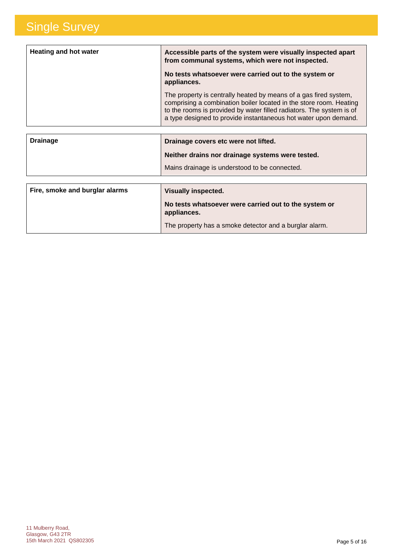| <b>Heating and hot water</b> | Accessible parts of the system were visually inspected apart<br>from communal systems, which were not inspected.<br>No tests whatsoever were carried out to the system or<br>appliances.                                                                                          |
|------------------------------|-----------------------------------------------------------------------------------------------------------------------------------------------------------------------------------------------------------------------------------------------------------------------------------|
|                              | The property is centrally heated by means of a gas fired system,<br>comprising a combination boiler located in the store room. Heating<br>to the rooms is provided by water filled radiators. The system is of<br>a type designed to provide instantaneous hot water upon demand. |

| <b>Drainage</b> | Drainage covers etc were not lifted.             |
|-----------------|--------------------------------------------------|
|                 | Neither drains nor drainage systems were tested. |
|                 | Mains drainage is understood to be connected.    |
|                 |                                                  |
| .               |                                                  |

| Fire, smoke and burglar alarms | Visually inspected.                                                  |
|--------------------------------|----------------------------------------------------------------------|
|                                | No tests whatsoever were carried out to the system or<br>appliances. |
|                                | The property has a smoke detector and a burglar alarm.               |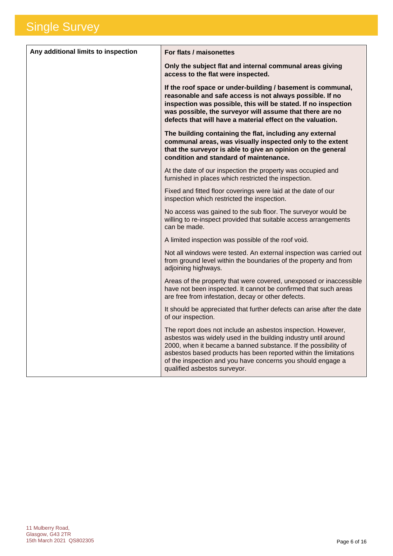| Any additional limits to inspection | For flats / maisonettes                                                                                                                                                                                                                                                                                                                                             |
|-------------------------------------|---------------------------------------------------------------------------------------------------------------------------------------------------------------------------------------------------------------------------------------------------------------------------------------------------------------------------------------------------------------------|
|                                     | Only the subject flat and internal communal areas giving<br>access to the flat were inspected.                                                                                                                                                                                                                                                                      |
|                                     | If the roof space or under-building / basement is communal,<br>reasonable and safe access is not always possible. If no<br>inspection was possible, this will be stated. If no inspection<br>was possible, the surveyor will assume that there are no<br>defects that will have a material effect on the valuation.                                                 |
|                                     | The building containing the flat, including any external<br>communal areas, was visually inspected only to the extent<br>that the surveyor is able to give an opinion on the general<br>condition and standard of maintenance.                                                                                                                                      |
|                                     | At the date of our inspection the property was occupied and<br>furnished in places which restricted the inspection.                                                                                                                                                                                                                                                 |
|                                     | Fixed and fitted floor coverings were laid at the date of our<br>inspection which restricted the inspection.                                                                                                                                                                                                                                                        |
|                                     | No access was gained to the sub floor. The surveyor would be<br>willing to re-inspect provided that suitable access arrangements<br>can be made.                                                                                                                                                                                                                    |
|                                     | A limited inspection was possible of the roof void.                                                                                                                                                                                                                                                                                                                 |
|                                     | Not all windows were tested. An external inspection was carried out<br>from ground level within the boundaries of the property and from<br>adjoining highways.                                                                                                                                                                                                      |
|                                     | Areas of the property that were covered, unexposed or inaccessible<br>have not been inspected. It cannot be confirmed that such areas<br>are free from infestation, decay or other defects.                                                                                                                                                                         |
|                                     | It should be appreciated that further defects can arise after the date<br>of our inspection.                                                                                                                                                                                                                                                                        |
|                                     | The report does not include an asbestos inspection. However,<br>asbestos was widely used in the building industry until around<br>2000, when it became a banned substance. If the possibility of<br>asbestos based products has been reported within the limitations<br>of the inspection and you have concerns you should engage a<br>qualified asbestos surveyor. |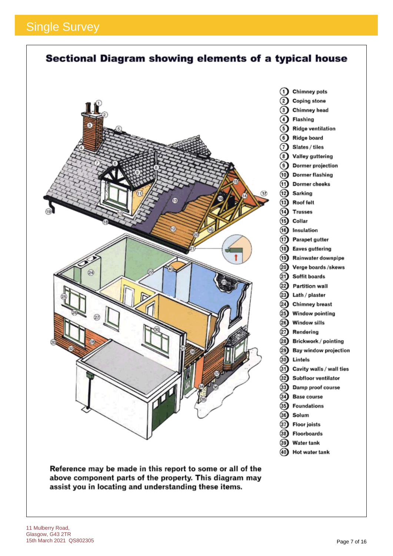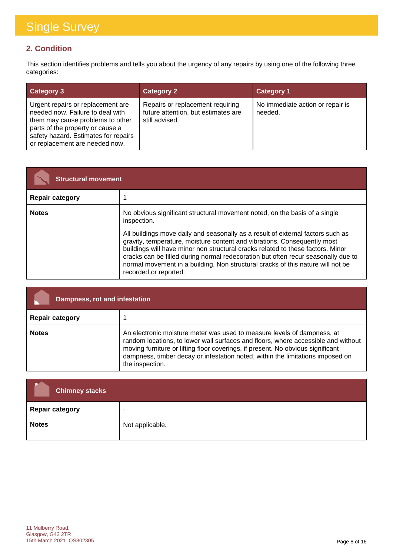### **2. Condition**

This section identifies problems and tells you about the urgency of any repairs by using one of the following three categories:

| <b>Category 3</b>                                                                                                                                                                                                       | <b>Category 2</b>                                                                         | <b>Category 1</b>                           |
|-------------------------------------------------------------------------------------------------------------------------------------------------------------------------------------------------------------------------|-------------------------------------------------------------------------------------------|---------------------------------------------|
| Urgent repairs or replacement are<br>needed now. Failure to deal with<br>them may cause problems to other<br>parts of the property or cause a<br>safety hazard. Estimates for repairs<br>or replacement are needed now. | Repairs or replacement requiring<br>future attention, but estimates are<br>still advised. | No immediate action or repair is<br>needed. |

| <b>Structural movement</b> |                                                                                                                                                                                                                                                                                                                                                                                                                                                                                                                                              |
|----------------------------|----------------------------------------------------------------------------------------------------------------------------------------------------------------------------------------------------------------------------------------------------------------------------------------------------------------------------------------------------------------------------------------------------------------------------------------------------------------------------------------------------------------------------------------------|
| <b>Repair category</b>     |                                                                                                                                                                                                                                                                                                                                                                                                                                                                                                                                              |
| <b>Notes</b>               | No obvious significant structural movement noted, on the basis of a single<br>inspection.<br>All buildings move daily and seasonally as a result of external factors such as<br>gravity, temperature, moisture content and vibrations. Consequently most<br>buildings will have minor non structural cracks related to these factors. Minor<br>cracks can be filled during normal redecoration but often recur seasonally due to<br>normal movement in a building. Non structural cracks of this nature will not be<br>recorded or reported. |

| Dampness, rot and infestation |                                                                                                                                                                                                                                                                                                                                                      |
|-------------------------------|------------------------------------------------------------------------------------------------------------------------------------------------------------------------------------------------------------------------------------------------------------------------------------------------------------------------------------------------------|
| <b>Repair category</b>        |                                                                                                                                                                                                                                                                                                                                                      |
| <b>Notes</b>                  | An electronic moisture meter was used to measure levels of dampness, at<br>random locations, to lower wall surfaces and floors, where accessible and without<br>moving furniture or lifting floor coverings, if present. No obvious significant<br>dampness, timber decay or infestation noted, within the limitations imposed on<br>the inspection. |

| <b>Chimney stacks</b>  |                          |
|------------------------|--------------------------|
| <b>Repair category</b> | $\overline{\phantom{a}}$ |
| <b>Notes</b>           | Not applicable.          |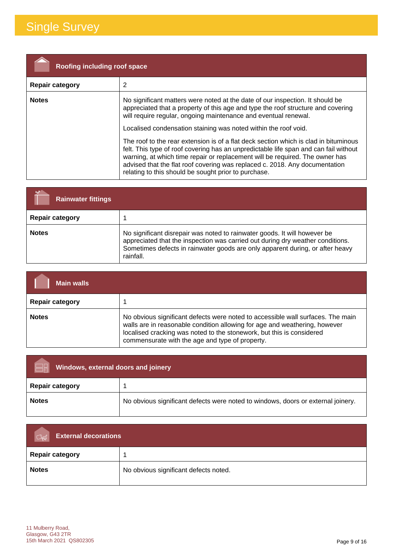| Roofing including roof space |                                                                                                                                                                                                                                                                                                                                                                                                                                                                                                                                                                                                                                                                                                                |
|------------------------------|----------------------------------------------------------------------------------------------------------------------------------------------------------------------------------------------------------------------------------------------------------------------------------------------------------------------------------------------------------------------------------------------------------------------------------------------------------------------------------------------------------------------------------------------------------------------------------------------------------------------------------------------------------------------------------------------------------------|
| <b>Repair category</b>       |                                                                                                                                                                                                                                                                                                                                                                                                                                                                                                                                                                                                                                                                                                                |
| <b>Notes</b>                 | No significant matters were noted at the date of our inspection. It should be<br>appreciated that a property of this age and type the roof structure and covering<br>will require regular, ongoing maintenance and eventual renewal.<br>Localised condensation staining was noted within the roof void.<br>The roof to the rear extension is of a flat deck section which is clad in bituminous<br>felt. This type of roof covering has an unpredictable life span and can fail without<br>warning, at which time repair or replacement will be required. The owner has<br>advised that the flat roof covering was replaced c. 2018. Any documentation<br>relating to this should be sought prior to purchase. |

| <b>Rainwater fittings</b> |                                                                                                                                                                                                                                                           |
|---------------------------|-----------------------------------------------------------------------------------------------------------------------------------------------------------------------------------------------------------------------------------------------------------|
| <b>Repair category</b>    |                                                                                                                                                                                                                                                           |
| <b>Notes</b>              | No significant disrepair was noted to rainwater goods. It will however be<br>appreciated that the inspection was carried out during dry weather conditions.<br>Sometimes defects in rainwater goods are only apparent during, or after heavy<br>rainfall. |

| <b>Main walls</b>      |                                                                                                                                                                                                                                                                                           |
|------------------------|-------------------------------------------------------------------------------------------------------------------------------------------------------------------------------------------------------------------------------------------------------------------------------------------|
| <b>Repair category</b> |                                                                                                                                                                                                                                                                                           |
| <b>Notes</b>           | No obvious significant defects were noted to accessible wall surfaces. The main<br>walls are in reasonable condition allowing for age and weathering, however<br>localised cracking was noted to the stonework, but this is considered<br>commensurate with the age and type of property. |

| Windows, external doors and joinery |                                                                                  |
|-------------------------------------|----------------------------------------------------------------------------------|
| <b>Repair category</b>              |                                                                                  |
| <b>Notes</b>                        | No obvious significant defects were noted to windows, doors or external joinery. |

| <b>External decorations</b><br>$\sqrt{2}$ |                                       |
|-------------------------------------------|---------------------------------------|
| <b>Repair category</b>                    |                                       |
| <b>Notes</b>                              | No obvious significant defects noted. |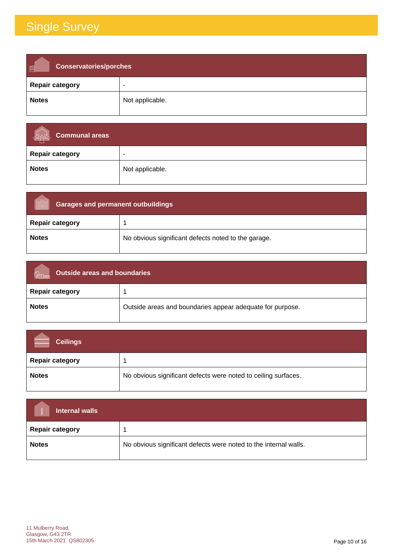| 圃<br><b>Conservatories/porches</b> |                          |
|------------------------------------|--------------------------|
| <b>Repair category</b>             | $\overline{\phantom{a}}$ |
| <b>Notes</b>                       | Not applicable.          |

| Communal areas<br><b>LARS</b> |                 |
|-------------------------------|-----------------|
| <b>Repair category</b>        | -               |
| <b>Notes</b>                  | Not applicable. |

| <b>Garages and permanent outbuildings</b> |                                                     |
|-------------------------------------------|-----------------------------------------------------|
| <b>Repair category</b>                    |                                                     |
| <b>Notes</b>                              | No obvious significant defects noted to the garage. |

| Outside areas and boundaries |                                                           |
|------------------------------|-----------------------------------------------------------|
| <b>Repair category</b>       |                                                           |
| <b>Notes</b>                 | Outside areas and boundaries appear adequate for purpose. |

| <b>Ceilings</b>        |                                                                |
|------------------------|----------------------------------------------------------------|
| <b>Repair category</b> |                                                                |
| <b>Notes</b>           | No obvious significant defects were noted to ceiling surfaces. |

| <b>Internal walls</b>  |                                                                  |
|------------------------|------------------------------------------------------------------|
| <b>Repair category</b> |                                                                  |
| <b>Notes</b>           | No obvious significant defects were noted to the internal walls. |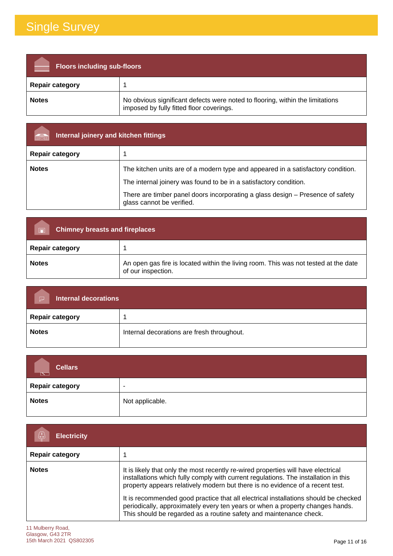| <b>Floors including sub-floors</b> |                                                                                                                           |
|------------------------------------|---------------------------------------------------------------------------------------------------------------------------|
| <b>Repair category</b>             |                                                                                                                           |
| <b>Notes</b>                       | No obvious significant defects were noted to flooring, within the limitations<br>imposed by fully fitted floor coverings. |

| Internal joinery and kitchen fittings |                                                                                                                                                       |
|---------------------------------------|-------------------------------------------------------------------------------------------------------------------------------------------------------|
| <b>Repair category</b>                |                                                                                                                                                       |
| <b>Notes</b>                          | The kitchen units are of a modern type and appeared in a satisfactory condition.<br>The internal joinery was found to be in a satisfactory condition. |
|                                       | There are timber panel doors incorporating a glass design – Presence of safety<br>glass cannot be verified.                                           |

| <b>Chimney breasts and fireplaces</b><br>$\blacksquare$ |                                                                                                           |
|---------------------------------------------------------|-----------------------------------------------------------------------------------------------------------|
| <b>Repair category</b>                                  |                                                                                                           |
| <b>Notes</b>                                            | An open gas fire is located within the living room. This was not tested at the date<br>of our inspection. |

| <b>Internal decorations</b><br>$\overline{D}$ |                                            |  |
|-----------------------------------------------|--------------------------------------------|--|
| <b>Repair category</b>                        |                                            |  |
| <b>Notes</b>                                  | Internal decorations are fresh throughout. |  |

| <b>Cellars</b><br>$\overline{\mathbb{R}}$ |                 |
|-------------------------------------------|-----------------|
| Repair category                           | ۰               |
| <b>Notes</b>                              | Not applicable. |

| <b>Electricity</b>     |                                                                                                                                                                                                                                                                                                                                                                                                                                                                                                         |
|------------------------|---------------------------------------------------------------------------------------------------------------------------------------------------------------------------------------------------------------------------------------------------------------------------------------------------------------------------------------------------------------------------------------------------------------------------------------------------------------------------------------------------------|
| <b>Repair category</b> |                                                                                                                                                                                                                                                                                                                                                                                                                                                                                                         |
| <b>Notes</b>           | It is likely that only the most recently re-wired properties will have electrical<br>installations which fully comply with current regulations. The installation in this<br>property appears relatively modern but there is no evidence of a recent test.<br>It is recommended good practice that all electrical installations should be checked<br>periodically, approximately every ten years or when a property changes hands.<br>This should be regarded as a routine safety and maintenance check. |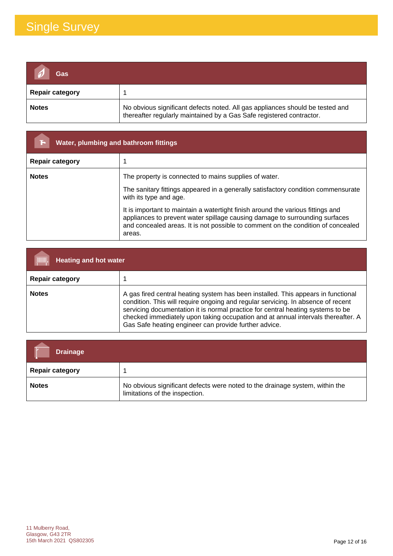| Gas                    |                                                                                                                                                       |  |
|------------------------|-------------------------------------------------------------------------------------------------------------------------------------------------------|--|
| <b>Repair category</b> |                                                                                                                                                       |  |
| <b>Notes</b>           | No obvious significant defects noted. All gas appliances should be tested and<br>thereafter regularly maintained by a Gas Safe registered contractor. |  |

| Water, plumbing and bathroom fittings |                                                                                                                                                                                                                                                              |
|---------------------------------------|--------------------------------------------------------------------------------------------------------------------------------------------------------------------------------------------------------------------------------------------------------------|
| <b>Repair category</b>                |                                                                                                                                                                                                                                                              |
| <b>Notes</b>                          | The property is connected to mains supplies of water.                                                                                                                                                                                                        |
|                                       | The sanitary fittings appeared in a generally satisfactory condition commensurate<br>with its type and age.                                                                                                                                                  |
|                                       | It is important to maintain a watertight finish around the various fittings and<br>appliances to prevent water spillage causing damage to surrounding surfaces<br>and concealed areas. It is not possible to comment on the condition of concealed<br>areas. |

| [IIIIIIII]<br><b>Heating and hot water</b> |                                                                                                                                                                                                                                                                                                                                                                                                       |  |
|--------------------------------------------|-------------------------------------------------------------------------------------------------------------------------------------------------------------------------------------------------------------------------------------------------------------------------------------------------------------------------------------------------------------------------------------------------------|--|
| <b>Repair category</b>                     |                                                                                                                                                                                                                                                                                                                                                                                                       |  |
| <b>Notes</b>                               | A gas fired central heating system has been installed. This appears in functional<br>condition. This will require ongoing and regular servicing. In absence of recent<br>servicing documentation it is normal practice for central heating systems to be<br>checked immediately upon taking occupation and at annual intervals thereafter. A<br>Gas Safe heating engineer can provide further advice. |  |

| <b>Drainage</b>        |                                                                                                                |
|------------------------|----------------------------------------------------------------------------------------------------------------|
| <b>Repair category</b> |                                                                                                                |
| <b>Notes</b>           | No obvious significant defects were noted to the drainage system, within the<br>limitations of the inspection. |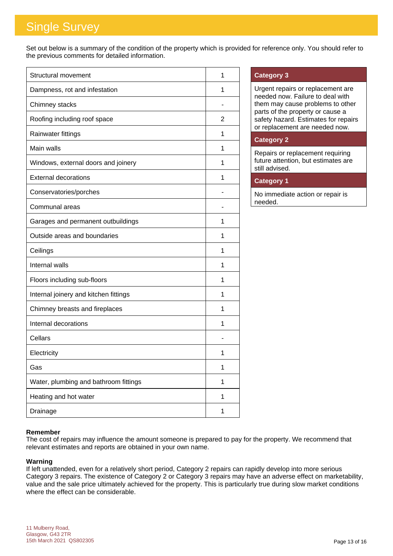Set out below is a summary of the condition of the property which is provided for reference only. You should refer to the previous comments for detailed information.

| <b>Structural movement</b>            | 1 |
|---------------------------------------|---|
| Dampness, rot and infestation         | 1 |
| Chimney stacks                        |   |
| Roofing including roof space          | 2 |
| Rainwater fittings                    | 1 |
| Main walls                            | 1 |
| Windows, external doors and joinery   | 1 |
| <b>External decorations</b>           | 1 |
| Conservatories/porches                |   |
| Communal areas                        |   |
| Garages and permanent outbuildings    | 1 |
| Outside areas and boundaries          | 1 |
| Ceilings                              | 1 |
| Internal walls                        | 1 |
| Floors including sub-floors           | 1 |
| Internal joinery and kitchen fittings | 1 |
| Chimney breasts and fireplaces        | 1 |
| Internal decorations                  | 1 |
| Cellars                               |   |
| Electricity                           | 1 |
| Gas                                   | 1 |
| Water, plumbing and bathroom fittings | 1 |
| Heating and hot water                 | 1 |
| Drainage                              | 1 |

### **Category 3**

Urgent repairs or replacement are needed now. Failure to deal with them may cause problems to other parts of the property or cause a safety hazard. Estimates for repairs or replacement are needed now.

### **Category 2**

Repairs or replacement requiring future attention, but estimates are still advised.

### **Category 1**

No immediate action or repair is needed.

### **Remember**

The cost of repairs may influence the amount someone is prepared to pay for the property. We recommend that relevant estimates and reports are obtained in your own name.

#### **Warning**

If left unattended, even for a relatively short period, Category 2 repairs can rapidly develop into more serious Category 3 repairs. The existence of Category 2 or Category 3 repairs may have an adverse effect on marketability, value and the sale price ultimately achieved for the property. This is particularly true during slow market conditions where the effect can be considerable.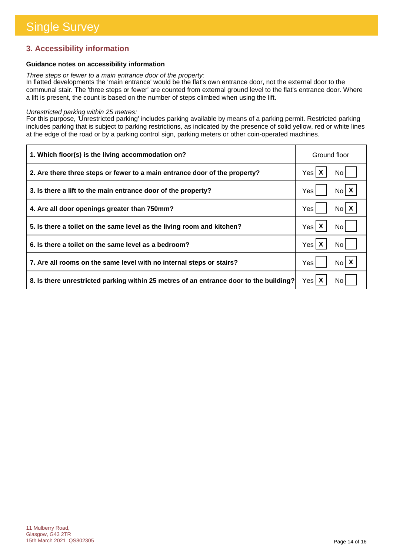### **3. Accessibility information**

### **Guidance notes on accessibility information**

*Three steps or fewer to a main entrance door of the property:*

In flatted developments the 'main entrance' would be the flat's own entrance door, not the external door to the communal stair. The 'three steps or fewer' are counted from external ground level to the flat's entrance door. Where a lift is present, the count is based on the number of steps climbed when using the lift.

#### *Unrestricted parking within 25 metres:*

For this purpose, 'Unrestricted parking' includes parking available by means of a parking permit. Restricted parking includes parking that is subject to parking restrictions, as indicated by the presence of solid yellow, red or white lines at the edge of the road or by a parking control sign, parking meters or other coin-operated machines.

| 1. Which floor(s) is the living accommodation on?                                      | Ground floor             |
|----------------------------------------------------------------------------------------|--------------------------|
| 2. Are there three steps or fewer to a main entrance door of the property?             | Yes <sub>l</sub><br>No l |
| 3. Is there a lift to the main entrance door of the property?                          | $N_0$ $X$<br>Yes         |
| 4. Are all door openings greater than 750mm?                                           | $N0$ $X$<br>Yes          |
| 5. Is there a toilet on the same level as the living room and kitchen?                 | Yes <sub>l</sub><br>No.  |
| 6. Is there a toilet on the same level as a bedroom?                                   | Yes <sub>l</sub><br>No.  |
| 7. Are all rooms on the same level with no internal steps or stairs?                   | $No \mid X$<br>Yes       |
| 8. Is there unrestricted parking within 25 metres of an entrance door to the building? | Yes <sub>l</sub><br>No l |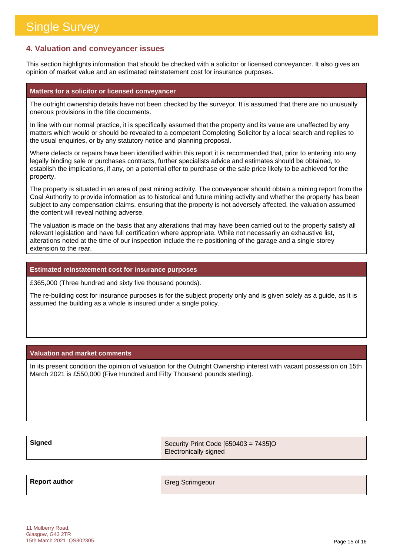### **4. Valuation and conveyancer issues**

This section highlights information that should be checked with a solicitor or licensed conveyancer. It also gives an opinion of market value and an estimated reinstatement cost for insurance purposes.

#### **Matters for a solicitor or licensed conveyancer**

The outright ownership details have not been checked by the surveyor, It is assumed that there are no unusually onerous provisions in the title documents.

In line with our normal practice, it is specifically assumed that the property and its value are unaffected by any matters which would or should be revealed to a competent Completing Solicitor by a local search and replies to the usual enquiries, or by any statutory notice and planning proposal.

Where defects or repairs have been identified within this report it is recommended that, prior to entering into any legally binding sale or purchases contracts, further specialists advice and estimates should be obtained, to establish the implications, if any, on a potential offer to purchase or the sale price likely to be achieved for the property.

The property is situated in an area of past mining activity. The conveyancer should obtain a mining report from the Coal Authority to provide information as to historical and future mining activity and whether the property has been subject to any compensation claims, ensuring that the property is not adversely affected. the valuation assumed the content will reveal nothing adverse.

The valuation is made on the basis that any alterations that may have been carried out to the property satisfy all relevant legislation and have full certification where appropriate. While not necessarily an exhaustive list, alterations noted at the time of our inspection include the re positioning of the garage and a single storey extension to the rear.

#### **Estimated reinstatement cost for insurance purposes**

£365,000 (Three hundred and sixty five thousand pounds).

The re-building cost for insurance purposes is for the subject property only and is given solely as a guide, as it is assumed the building as a whole is insured under a single policy.

### **Valuation and market comments**

In its present condition the opinion of valuation for the Outright Ownership interest with vacant possession on 15th March 2021 is £550,000 (Five Hundred and Fifty Thousand pounds sterling).

| Signed | Security Print Code $[650403 = 7435]$ O |
|--------|-----------------------------------------|
|        | <b>Electronically signed</b>            |

| <b>Report author</b> | <b>Greg Scrimgeour</b> |
|----------------------|------------------------|
|                      |                        |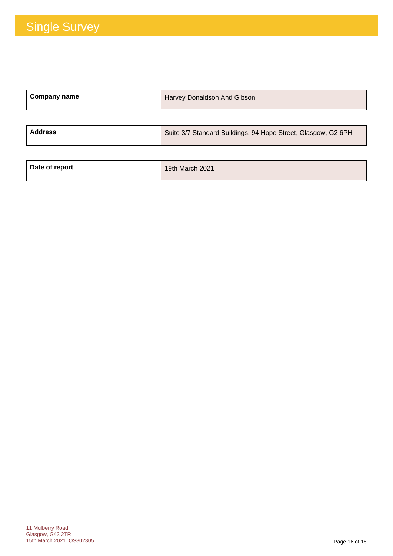| <b>Company name</b> | Harvey Donaldson And Gibson |
|---------------------|-----------------------------|
|---------------------|-----------------------------|

| <b>Address</b> | Suite 3/7 Standard Buildings, 94 Hope Street, Glasgow, G2 6PH |
|----------------|---------------------------------------------------------------|
|                |                                                               |

| Date of report | 19th March 2021 |
|----------------|-----------------|
|                |                 |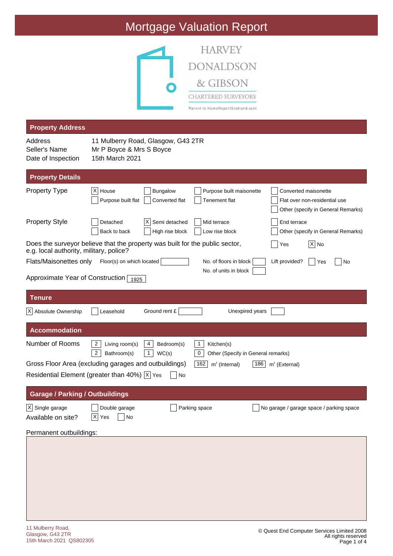# Mortgage Valuation Report



| <b>Property Address</b>                                                                                                 |                                                                                   |                                          |                                                                       |                        |                                                                                             |
|-------------------------------------------------------------------------------------------------------------------------|-----------------------------------------------------------------------------------|------------------------------------------|-----------------------------------------------------------------------|------------------------|---------------------------------------------------------------------------------------------|
| Address<br>Seller's Name<br>Date of Inspection                                                                          | 11 Mulberry Road, Glasgow, G43 2TR<br>Mr P Boyce & Mrs S Boyce<br>15th March 2021 |                                          |                                                                       |                        |                                                                                             |
| <b>Property Details</b>                                                                                                 |                                                                                   |                                          |                                                                       |                        |                                                                                             |
| <b>Property Type</b>                                                                                                    | XI<br>House<br>Purpose built flat                                                 | <b>Bungalow</b><br>Converted flat        | Purpose built maisonette<br>Tenement flat                             |                        | Converted maisonette<br>Flat over non-residential use<br>Other (specify in General Remarks) |
| <b>Property Style</b>                                                                                                   | Detached<br>Back to back                                                          | X Semi detached<br>High rise block       | Mid terrace<br>Low rise block                                         | End terrace            | Other (specify in General Remarks)                                                          |
| Does the surveyor believe that the property was built for the public sector,<br>e.g. local authority, military, police? |                                                                                   |                                          |                                                                       | Yes                    | $ \mathsf{X} $ No                                                                           |
| Flats/Maisonettes only                                                                                                  | Floor(s) on which located                                                         |                                          | No. of floors in block                                                | Lift provided?         | Yes<br>No                                                                                   |
| Approximate Year of Construction $\sqrt{1925}$                                                                          |                                                                                   |                                          | No. of units in block                                                 |                        |                                                                                             |
| <b>Tenure</b>                                                                                                           |                                                                                   |                                          |                                                                       |                        |                                                                                             |
| X Absolute Ownership                                                                                                    | Leasehold                                                                         | Ground rent £                            | Unexpired years                                                       |                        |                                                                                             |
| <b>Accommodation</b>                                                                                                    |                                                                                   |                                          |                                                                       |                        |                                                                                             |
| Number of Rooms                                                                                                         | 2<br>Living room(s)<br>$\overline{c}$<br>Bathroom(s)                              | 4<br>Bedroom(s)<br>$\mathbf{1}$<br>WC(s) | $\mathbf{1}$<br>Kitchen(s)<br>0<br>Other (Specify in General remarks) |                        |                                                                                             |
| Gross Floor Area (excluding garages and outbuildings)                                                                   |                                                                                   |                                          | 162<br>$m2$ (Internal)                                                | $m2$ (External)<br>186 |                                                                                             |
| Residential Element (greater than 40%) $ \overline{x} $ Yes                                                             |                                                                                   | No                                       |                                                                       |                        |                                                                                             |
| <b>Garage / Parking / Outbuildings</b>                                                                                  |                                                                                   |                                          |                                                                       |                        |                                                                                             |
| $X$ Single garage<br>Available on site?                                                                                 | Double garage<br>$ \overline{X} $ Yes<br><b>No</b>                                |                                          | Parking space                                                         |                        | No garage / garage space / parking space                                                    |
| Permanent outbuildings:                                                                                                 |                                                                                   |                                          |                                                                       |                        |                                                                                             |
|                                                                                                                         |                                                                                   |                                          |                                                                       |                        |                                                                                             |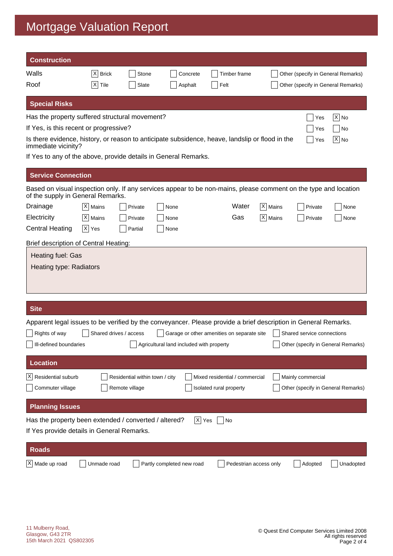## Mortgage Valuation Report

| <b>Construction</b>                                                                                                                                   |                        |                                                  |                                          |                                                           |           |                                    |                                    |
|-------------------------------------------------------------------------------------------------------------------------------------------------------|------------------------|--------------------------------------------------|------------------------------------------|-----------------------------------------------------------|-----------|------------------------------------|------------------------------------|
| Walls                                                                                                                                                 | $ X $ Brick            | Stone                                            | Concrete                                 | Timber frame                                              |           | Other (specify in General Remarks) |                                    |
| Roof                                                                                                                                                  | $ X $ Tile             | Slate                                            | Asphalt                                  | Felt                                                      |           | Other (specify in General Remarks) |                                    |
| <b>Special Risks</b>                                                                                                                                  |                        |                                                  |                                          |                                                           |           |                                    |                                    |
| Has the property suffered structural movement?                                                                                                        |                        |                                                  |                                          |                                                           |           | Yes                                | $ \mathsf{X} $ No                  |
| If Yes, is this recent or progressive?                                                                                                                |                        |                                                  |                                          |                                                           |           | Yes                                | No                                 |
| Is there evidence, history, or reason to anticipate subsidence, heave, landslip or flood in the<br>immediate vicinity?                                |                        |                                                  |                                          |                                                           |           | Yes                                | $ X $ No                           |
| If Yes to any of the above, provide details in General Remarks.                                                                                       |                        |                                                  |                                          |                                                           |           |                                    |                                    |
| <b>Service Connection</b>                                                                                                                             |                        |                                                  |                                          |                                                           |           |                                    |                                    |
| Based on visual inspection only. If any services appear to be non-mains, please comment on the type and location<br>of the supply in General Remarks. |                        |                                                  |                                          |                                                           |           |                                    |                                    |
| Drainage                                                                                                                                              | $ X $ Mains            | Private                                          | None                                     | Water                                                     | X   Mains | Private                            | None                               |
| Electricity                                                                                                                                           | $ X $ Mains            | Private                                          | None                                     | Gas                                                       | X Mains   | Private                            | None                               |
| <b>Central Heating</b>                                                                                                                                | $ \overline{X} $ Yes   | Partial                                          | None                                     |                                                           |           |                                    |                                    |
| Brief description of Central Heating:                                                                                                                 |                        |                                                  |                                          |                                                           |           |                                    |                                    |
| Heating fuel: Gas<br>Heating type: Radiators                                                                                                          |                        |                                                  |                                          |                                                           |           |                                    |                                    |
| <b>Site</b>                                                                                                                                           |                        |                                                  |                                          |                                                           |           |                                    |                                    |
| Apparent legal issues to be verified by the conveyancer. Please provide a brief description in General Remarks.                                       |                        |                                                  |                                          |                                                           |           |                                    |                                    |
| Rights of way                                                                                                                                         | Shared drives / access |                                                  |                                          | Garage or other amenities on separate site                |           | Shared service connections         |                                    |
| Ill-defined boundaries                                                                                                                                |                        |                                                  | Agricultural land included with property |                                                           |           |                                    | Other (specify in General Remarks) |
|                                                                                                                                                       |                        |                                                  |                                          |                                                           |           |                                    |                                    |
| <b>Location</b>                                                                                                                                       |                        |                                                  |                                          |                                                           |           |                                    |                                    |
| Residential suburb<br>$\vert X \vert$<br>Commuter village                                                                                             |                        | Residential within town / city<br>Remote village |                                          | Mixed residential / commercial<br>Isolated rural property |           | Mainly commercial                  | Other (specify in General Remarks) |
| <b>Planning Issues</b>                                                                                                                                |                        |                                                  |                                          |                                                           |           |                                    |                                    |
| Has the property been extended / converted / altered?                                                                                                 |                        |                                                  |                                          | $ \overline{X} $ Yes<br>No                                |           |                                    |                                    |
| If Yes provide details in General Remarks.                                                                                                            |                        |                                                  |                                          |                                                           |           |                                    |                                    |
| <b>Roads</b>                                                                                                                                          |                        |                                                  |                                          |                                                           |           |                                    |                                    |
| X Made up road                                                                                                                                        | Unmade road            |                                                  | Partly completed new road                | Pedestrian access only                                    |           | Adopted                            | Unadopted                          |
|                                                                                                                                                       |                        |                                                  |                                          |                                                           |           |                                    |                                    |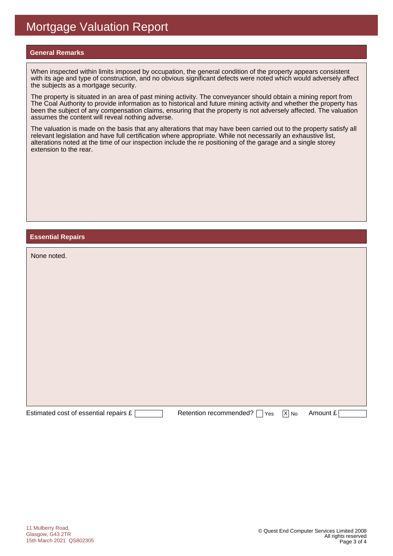### **General Remarks**

When inspected within limits imposed by occupation, the general condition of the property appears consistent with its age and type of construction, and no obvious significant defects were noted which would adversely affect the subjects as a mortgage security.

The property is situated in an area of past mining activity. The conveyancer should obtain a mining report from The Coal Authority to provide information as to historical and future mining activity and whether the property has been the subject of any compensation claims, ensuring that the property is not adversely affected. The valuation assumes the content will reveal nothing adverse.

The valuation is made on the basis that any alterations that may have been carried out to the property satisfy all relevant legislation and have full certification where appropriate. While not necessarily an exhaustive list, alterations noted at the time of our inspection include the re positioning of the garage and a single storey extension to the rear.

#### **Essential Repairs**

| None noted.                           |                                         |                   |          |
|---------------------------------------|-----------------------------------------|-------------------|----------|
|                                       |                                         |                   |          |
|                                       |                                         |                   |          |
|                                       |                                         |                   |          |
|                                       |                                         |                   |          |
|                                       |                                         |                   |          |
|                                       |                                         |                   |          |
|                                       |                                         |                   |          |
|                                       |                                         |                   |          |
| Estimated cost of essential repairs £ | Retention recommended?<br>Yes<br>$\sim$ | $\overline{X}$ No | Amount £ |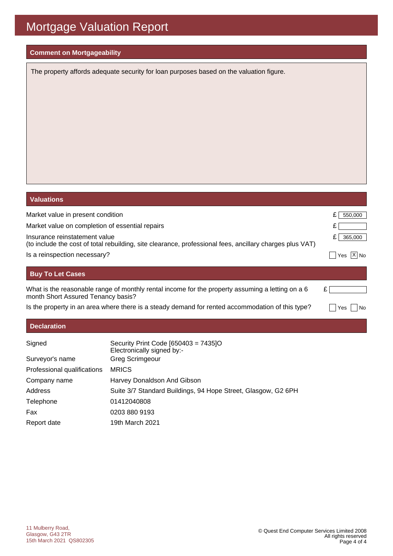## Mortgage Valuation Report

### **Comment on Mortgageability**

The property affords adequate security for loan purposes based on the valuation figure.

| <b>Valuations</b>                                                                                                                         |                         |
|-------------------------------------------------------------------------------------------------------------------------------------------|-------------------------|
| Market value in present condition                                                                                                         | £<br>550,000            |
| Market value on completion of essential repairs                                                                                           |                         |
| Insurance reinstatement value<br>(to include the cost of total rebuilding, site clearance, professional fees, ancillary charges plus VAT) | £<br>365,000            |
| Is a reinspection necessary?                                                                                                              | Yes $ \overline{X} $ No |
| <b>Buy To Let Cases</b>                                                                                                                   |                         |
| What is the reasonable range of monthly rental income for the property assuming a letting on a 6<br>month Short Assured Tenancy basis?    | £                       |
| Is the property in an area where there is a steady demand for rented accommodation of this type?                                          | No.<br>⁄es              |
| <b>Declaration</b>                                                                                                                        |                         |

| Signed                      | Security Print Code [650403 = 7435]O<br>Electronically signed by:- |
|-----------------------------|--------------------------------------------------------------------|
| Surveyor's name             | <b>Greg Scrimgeour</b>                                             |
| Professional qualifications | <b>MRICS</b>                                                       |
| Company name                | Harvey Donaldson And Gibson                                        |
| Address                     | Suite 3/7 Standard Buildings, 94 Hope Street, Glasgow, G2 6PH      |
| Telephone                   | 01412040808                                                        |
| Fax                         | 0203 880 9193                                                      |
| Report date                 | 19th March 2021                                                    |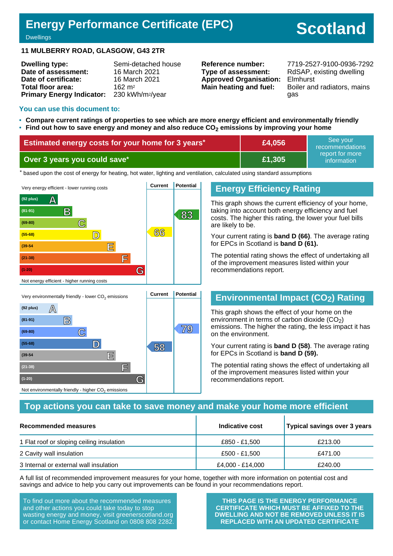### **Energy Performance Certificate (EPC)**

# **Scotland**

**Dwellings** 

### **11 MULBERRY ROAD, GLASGOW, G43 2TR**

| <b>Dwelling type:</b>                                         | Semi-detached house |
|---------------------------------------------------------------|---------------------|
| Date of assessment:                                           | 16 March 2021       |
| Date of certificate:                                          | 16 March 2021       |
| Total floor area:                                             | $162 \text{ m}^2$   |
| <b>Primary Energy Indicator:</b> 230 kWh/m <sup>2</sup> /year |                     |

**Type of assessment:** RdSAP, existing dwelling **Approved Organisation:** Elmhurst

**Reference number:** 7719-2527-9100-0936-7292 **Main heating and fuel:** Boiler and radiators, mains gas

#### **You can use this document to:**

- **Compare current ratings of properties to see which are more energy efficient and environmentally friendly**
- **Find out how to save energy and money and also reduce CO2 emissions by improving your home**

| Estimated energy costs for your home for 3 years* | £4,056        | See vour<br>recommendations                 |
|---------------------------------------------------|---------------|---------------------------------------------|
| Over 3 years you could save*                      | <b>E1,305</b> | report for more<br>information <sup>1</sup> |

the based upon the cost of energy for heating, hot water, lighting and ventilation, calculated using standard assumptions



### **Energy Efficiency Rating**

This graph shows the current efficiency of your home, taking into account both energy efficiency and fuel costs. The higher this rating, the lower your fuel bills are likely to be.

Your current rating is **band D (66)**. The average rating for EPCs in Scotland is **band D (61).**

The potential rating shows the effect of undertaking all of the improvement measures listed within your recommendations report.

### **Environmental Impact (CO2) Rating**

This graph shows the effect of your home on the environment in terms of carbon dioxide  $(CO<sub>2</sub>)$ emissions. The higher the rating, the less impact it has on the environment.

Your current rating is **band D (58)**. The average rating for EPCs in Scotland is **band D (59).**

The potential rating shows the effect of undertaking all of the improvement measures listed within your recommendations report.

### **Top actions you can take to save money and make your home more efficient**

| Recommended measures                      | Indicative cost  | Typical savings over 3 years |
|-------------------------------------------|------------------|------------------------------|
| 1 Flat roof or sloping ceiling insulation | £850 - £1,500    | £213.00                      |
| 2 Cavity wall insulation                  | £500 - £1,500    | £471.00                      |
| 3 Internal or external wall insulation    | £4,000 - £14,000 | £240.00                      |

A full list of recommended improvement measures for your home, together with more information on potential cost and savings and advice to help you carry out improvements can be found in your recommendations report.

To find out more about the recommended measures and other actions you could take today to stop wasting energy and money, visit greenerscotland.org or contact Home Energy Scotland on 0808 808 2282.

Not environmentally friendly - higher  $\mathsf{CO}_2$  emissions

**THIS PAGE IS THE ENERGY PERFORMANCE CERTIFICATE WHICH MUST BE AFFIXED TO THE DWELLING AND NOT BE REMOVED UNLESS IT IS REPLACED WITH AN UPDATED CERTIFICATE**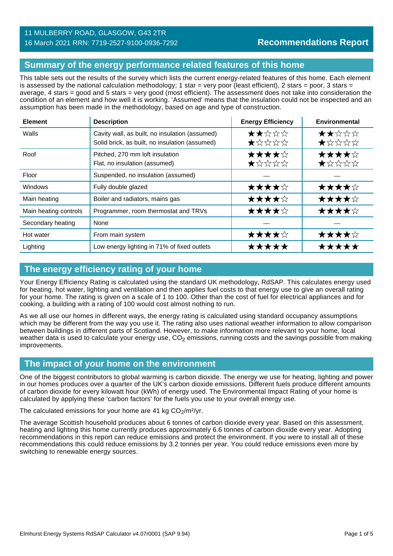### **Summary of the energy performance related features of this home**

This table sets out the results of the survey which lists the current energy-related features of this home. Each element is assessed by the national calculation methodology; 1 star = very poor (least efficient), 2 stars = poor, 3 stars = average, 4 stars = good and 5 stars = very good (most efficient). The assessment does not take into consideration the condition of an element and how well it is working. 'Assumed' means that the insulation could not be inspected and an assumption has been made in the methodology, based on age and type of construction.

| <b>Element</b>        | <b>Description</b>                                                                               | <b>Energy Efficiency</b> | Environmental  |
|-----------------------|--------------------------------------------------------------------------------------------------|--------------------------|----------------|
| Walls                 | Cavity wall, as built, no insulation (assumed)<br>Solid brick, as built, no insulation (assumed) | ★★☆☆☆<br>★☆☆☆☆           | ★★☆☆☆<br>★☆☆☆☆ |
| Roof                  | Pitched, 270 mm loft insulation<br>Flat, no insulation (assumed)                                 | ★★★★☆<br>★☆☆☆☆           | ★★★★☆<br>★☆☆☆☆ |
| Floor                 | Suspended, no insulation (assumed)                                                               |                          |                |
| Windows               | Fully double glazed                                                                              | ★★★★☆                    | ★★★★☆          |
| Main heating          | Boiler and radiators, mains gas                                                                  | ★★★★☆                    | ★★★★☆          |
| Main heating controls | Programmer, room thermostat and TRVs                                                             | ★★★★☆                    | ★★★★☆          |
| Secondary heating     | None                                                                                             |                          |                |
| Hot water             | From main system                                                                                 | ★★★★☆                    | ★★★★☆          |
| Lighting              | Low energy lighting in 71% of fixed outlets                                                      | ★★★★★                    | ★★★★★          |

### **The energy efficiency rating of your home**

Your Energy Efficiency Rating is calculated using the standard UK methodology, RdSAP. This calculates energy used for heating, hot water, lighting and ventilation and then applies fuel costs to that energy use to give an overall rating for your home. The rating is given on a scale of 1 to 100. Other than the cost of fuel for electrical appliances and for cooking, a building with a rating of 100 would cost almost nothing to run.

As we all use our homes in different ways, the energy rating is calculated using standard occupancy assumptions which may be different from the way you use it. The rating also uses national weather information to allow comparison between buildings in different parts of Scotland. However, to make information more relevant to your home, local weather data is used to calculate your energy use,  $CO<sub>2</sub>$  emissions, running costs and the savings possible from making improvements.

### **The impact of your home on the environment**

One of the biggest contributors to global warming is carbon dioxide. The energy we use for heating, lighting and power in our homes produces over a quarter of the UK's carbon dioxide emissions. Different fuels produce different amounts of carbon dioxide for every kilowatt hour (kWh) of energy used. The Environmental Impact Rating of your home is calculated by applying these 'carbon factors' for the fuels you use to your overall energy use.

The calculated emissions for your home are 41 kg  $CO<sub>2</sub>/m<sup>2</sup>/yr$ .

The average Scottish household produces about 6 tonnes of carbon dioxide every year. Based on this assessment, heating and lighting this home currently produces approximately 6.6 tonnes of carbon dioxide every year. Adopting recommendations in this report can reduce emissions and protect the environment. If you were to install all of these recommendations this could reduce emissions by 3.2 tonnes per year. You could reduce emissions even more by switching to renewable energy sources.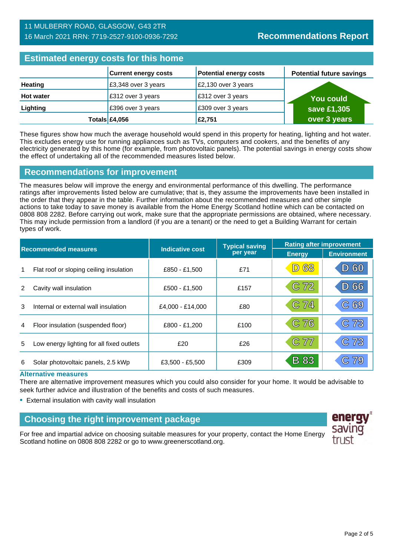### 11 MULBERRY ROAD, GLASGOW, G43 2TR 16 March 2021 RRN: 7719-2527-9100-0936-7292

### **Estimated energy costs for this home**

| <b>EDITION OF SHOP WAS SERVED TO MARKET OF SHOP</b> |                             |                               |                                 |  |  |
|-----------------------------------------------------|-----------------------------|-------------------------------|---------------------------------|--|--|
|                                                     | <b>Current energy costs</b> | <b>Potential energy costs</b> | <b>Potential future savings</b> |  |  |
| <b>Heating</b>                                      | $\,$ £3,348 over 3 years    | £2,130 over 3 years           |                                 |  |  |
| <b>Hot water</b>                                    | £312 over 3 years           | £312 over 3 years             | <b>You could</b>                |  |  |
| Lighting                                            | £396 over 3 years           | £309 over 3 years             | save £1,305                     |  |  |
|                                                     | Totals $£4,056$             | £2,751                        | over 3 years                    |  |  |

These figures show how much the average household would spend in this property for heating, lighting and hot water. This excludes energy use for running appliances such as TVs, computers and cookers, and the benefits of any electricity generated by this home (for example, from photovoltaic panels). The potential savings in energy costs show the effect of undertaking all of the recommended measures listed below.

### **Recommendations for improvement**

The measures below will improve the energy and environmental performance of this dwelling. The performance ratings after improvements listed below are cumulative; that is, they assume the improvements have been installed in the order that they appear in the table. Further information about the recommended measures and other simple actions to take today to save money is available from the Home Energy Scotland hotline which can be contacted on 0808 808 2282. Before carrying out work, make sure that the appropriate permissions are obtained, where necessary. This may include permission from a landlord (if you are a tenant) or the need to get a Building Warrant for certain types of work.

| <b>Recommended measures</b> |                                           |                        | <b>Typical saving</b> | <b>Rating after improvement</b> |                    |  |
|-----------------------------|-------------------------------------------|------------------------|-----------------------|---------------------------------|--------------------|--|
|                             |                                           | <b>Indicative cost</b> | per year              | <b>Energy</b>                   | <b>Environment</b> |  |
| 1                           | Flat roof or sloping ceiling insulation   | £850 - £1,500          | £71                   | <b>D 68</b>                     | $D$ 60             |  |
| 2                           | Cavity wall insulation                    | £500 - £1,500          | £157                  | C <sub>72</sub>                 | 66                 |  |
| 3                           | Internal or external wall insulation      | £4,000 - £14,000       | £80                   | C74                             | 69                 |  |
| 4                           | Floor insulation (suspended floor)        | £800 - £1,200          | £100                  | C76                             | C 73               |  |
| 5                           | Low energy lighting for all fixed outlets | £20                    | £26                   | C 77                            | 73<br>$\mathbb{C}$ |  |
| 6                           | Solar photovoltaic panels, 2.5 kWp        | £3,500 - £5,500        | £309                  | <b>B</b> 83                     | 7/9)               |  |

### **Alternative measures**

There are alternative improvement measures which you could also consider for your home. It would be advisable to seek further advice and illustration of the benefits and costs of such measures.

• External insulation with cavity wall insulation

### **Choosing the right improvement package**

For free and impartial advice on choosing suitable measures for your property, contact the Home Energy Scotland hotline on 0808 808 2282 or go to www.greenerscotland.org.

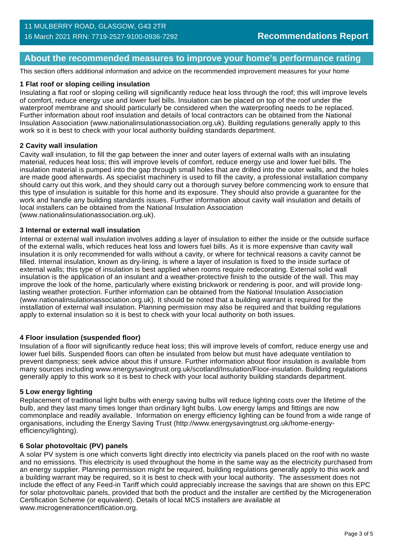### **About the recommended measures to improve your home's performance rating**

This section offers additional information and advice on the recommended improvement measures for your home

### **1 Flat roof or sloping ceiling insulation**

Insulating a flat roof or sloping ceiling will significantly reduce heat loss through the roof; this will improve levels of comfort, reduce energy use and lower fuel bills. Insulation can be placed on top of the roof under the waterproof membrane and should particularly be considered when the waterproofing needs to be replaced. Further information about roof insulation and details of local contractors can be obtained from the National Insulation Association (www.nationalinsulationassociation.org.uk). Building regulations generally apply to this work so it is best to check with your local authority building standards department.

### **2 Cavity wall insulation**

Cavity wall insulation, to fill the gap between the inner and outer layers of external walls with an insulating material, reduces heat loss; this will improve levels of comfort, reduce energy use and lower fuel bills. The insulation material is pumped into the gap through small holes that are drilled into the outer walls, and the holes are made good afterwards. As specialist machinery is used to fill the cavity, a professional installation company should carry out this work, and they should carry out a thorough survey before commencing work to ensure that this type of insulation is suitable for this home and its exposure. They should also provide a guarantee for the work and handle any building standards issues. Further information about cavity wall insulation and details of local installers can be obtained from the National Insulation Association (www.nationalinsulationassociation.org.uk).

#### **3 Internal or external wall insulation**

Internal or external wall insulation involves adding a layer of insulation to either the inside or the outside surface of the external walls, which reduces heat loss and lowers fuel bills. As it is more expensive than cavity wall insulation it is only recommended for walls without a cavity, or where for technical reasons a cavity cannot be filled. Internal insulation, known as dry-lining, is where a layer of insulation is fixed to the inside surface of external walls; this type of insulation is best applied when rooms require redecorating. External solid wall insulation is the application of an insulant and a weather-protective finish to the outside of the wall. This may improve the look of the home, particularly where existing brickwork or rendering is poor, and will provide longlasting weather protection. Further information can be obtained from the National Insulation Association (www.nationalinsulationassociation.org.uk). It should be noted that a building warrant is required for the installation of external wall insulation. Planning permission may also be required and that building regulations apply to external insulation so it is best to check with your local authority on both issues.

### **4 Floor insulation (suspended floor)**

Insulation of a floor will significantly reduce heat loss; this will improve levels of comfort, reduce energy use and lower fuel bills. Suspended floors can often be insulated from below but must have adequate ventilation to prevent dampness; seek advice about this if unsure. Further information about floor insulation is available from many sources including www.energysavingtrust.org.uk/scotland/Insulation/Floor-insulation. Building regulations generally apply to this work so it is best to check with your local authority building standards department.

#### **5 Low energy lighting**

Replacement of traditional light bulbs with energy saving bulbs will reduce lighting costs over the lifetime of the bulb, and they last many times longer than ordinary light bulbs. Low energy lamps and fittings are now commonplace and readily available. Information on energy efficiency lighting can be found from a wide range of organisations, including the Energy Saving Trust (http://www.energysavingtrust.org.uk/home-energyefficiency/lighting).

#### **6 Solar photovoltaic (PV) panels**

A solar PV system is one which converts light directly into electricity via panels placed on the roof with no waste and no emissions. This electricity is used throughout the home in the same way as the electricity purchased from an energy supplier. Planning permission might be required, building regulations generally apply to this work and a building warrant may be required, so it is best to check with your local authority. The assessment does not include the effect of any Feed-in Tariff which could appreciably increase the savings that are shown on this EPC for solar photovoltaic panels, provided that both the product and the installer are certified by the Microgeneration Certification Scheme (or equivalent). Details of local MCS installers are available at www.microgenerationcertification.org.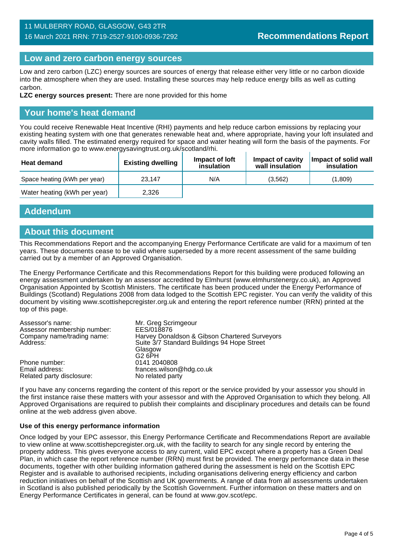### 11 MULBERRY ROAD, GLASGOW, G43 2TR 16 March 2021 RRN: 7719-2527-9100-0936-7292

### **Low and zero carbon energy sources**

Low and zero carbon (LZC) energy sources are sources of energy that release either very little or no carbon dioxide into the atmosphere when they are used. Installing these sources may help reduce energy bills as well as cutting carbon.

**LZC energy sources present:** There are none provided for this home

### **Your home's heat demand**

You could receive Renewable Heat Incentive (RHI) payments and help reduce carbon emissions by replacing your existing heating system with one that generates renewable heat and, where appropriate, having your loft insulated and cavity walls filled. The estimated energy required for space and water heating will form the basis of the payments. For more information go to www.energysavingtrust.org.uk/scotland/rhi.

| <b>Heat demand</b>           | <b>Existing dwelling</b> | Impact of loft<br>insulation | Impact of cavity<br>wall insulation | Impact of solid wall<br>insulation |
|------------------------------|--------------------------|------------------------------|-------------------------------------|------------------------------------|
| Space heating (kWh per year) | 23.147                   | N/A                          | (3.562)                             | (1,809)                            |
| Water heating (kWh per year) | 2.326                    |                              |                                     |                                    |

### **Addendum**

### **About this document**

This Recommendations Report and the accompanying Energy Performance Certificate are valid for a maximum of ten years. These documents cease to be valid where superseded by a more recent assessment of the same building carried out by a member of an Approved Organisation.

The Energy Performance Certificate and this Recommendations Report for this building were produced following an energy assessment undertaken by an assessor accredited by Elmhurst (www.elmhurstenergy.co.uk), an Approved Organisation Appointed by Scottish Ministers. The certificate has been produced under the Energy Performance of Buildings (Scotland) Regulations 2008 from data lodged to the Scottish EPC register. You can verify the validity of this document by visiting www.scottishepcregister.org.uk and entering the report reference number (RRN) printed at the top of this page.

| Assessor's name:            | Mr. Greg Scrimgeour                           |
|-----------------------------|-----------------------------------------------|
| Assessor membership number: | EES/018876                                    |
| Company name/trading name:  | Harvey Donaldson & Gibson Chartered Surveyors |
| Address:                    | Suite 3/7 Standard Buildings 94 Hope Street   |
|                             | Glasgow                                       |
|                             | G <sub>2</sub> 6PH                            |
| Phone number:               | 0141 2040808                                  |
| Email address:              | frances.wilson@hdg.co.uk                      |
| Related party disclosure:   | No related party                              |

If you have any concerns regarding the content of this report or the service provided by your assessor you should in the first instance raise these matters with your assessor and with the Approved Organisation to which they belong. All Approved Organisations are required to publish their complaints and disciplinary procedures and details can be found online at the web address given above.

### **Use of this energy performance information**

Once lodged by your EPC assessor, this Energy Performance Certificate and Recommendations Report are available to view online at www.scottishepcregister.org.uk, with the facility to search for any single record by entering the property address. This gives everyone access to any current, valid EPC except where a property has a Green Deal Plan, in which case the report reference number (RRN) must first be provided. The energy performance data in these documents, together with other building information gathered during the assessment is held on the Scottish EPC Register and is available to authorised recipients, including organisations delivering energy efficiency and carbon reduction initiatives on behalf of the Scottish and UK governments. A range of data from all assessments undertaken in Scotland is also published periodically by the Scottish Government. Further information on these matters and on Energy Performance Certificates in general, can be found at www.gov.scot/epc.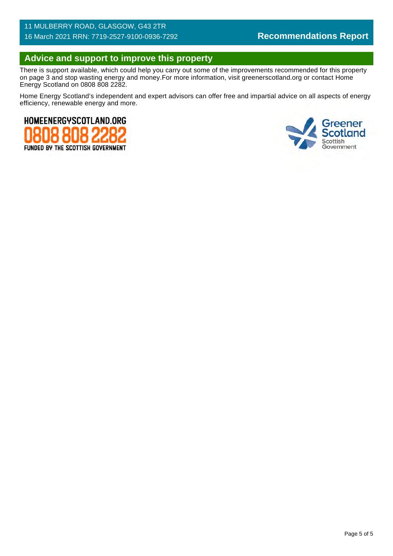### **Advice and support to improve this property**

There is support available, which could help you carry out some of the improvements recommended for this property on page 3 and stop wasting energy and money.For more information, visit greenerscotland.org or contact Home Energy Scotland on 0808 808 2282.

Home Energy Scotland's independent and expert advisors can offer free and impartial advice on all aspects of energy efficiency, renewable energy and more.



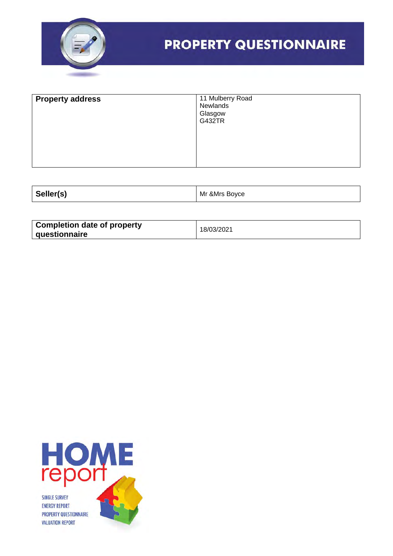

| 11 Mulberry Road<br><b>Property address</b><br>Newlands<br>Glasgow<br>G432TR |  |
|------------------------------------------------------------------------------|--|
|------------------------------------------------------------------------------|--|

| Seller(s) | Mr & Mrs Boyce |
|-----------|----------------|
|-----------|----------------|

| <b>Completion date of property</b> | 18/03/2021 |
|------------------------------------|------------|
| questionnaire                      |            |

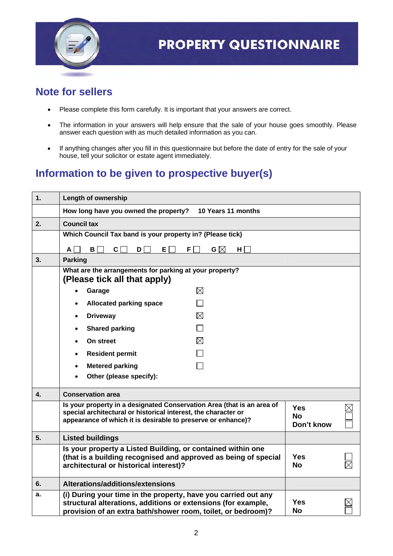

### **Note for sellers**

- Please complete this form carefully. It is important that your answers are correct.
- The information in your answers will help ensure that the sale of your house goes smoothly. Please answer each question with as much detailed information as you can.
- If anything changes after you fill in this questionnaire but before the date of entry for the sale of your house, tell your solicitor or estate agent immediately.

### **Information to be given to prospective buyer(s)**

| 1. | Length of ownership                                                                                                                                                                                      |                                       |  |
|----|----------------------------------------------------------------------------------------------------------------------------------------------------------------------------------------------------------|---------------------------------------|--|
|    | 10 Years 11 months<br>How long have you owned the property?                                                                                                                                              |                                       |  |
| 2. | <b>Council tax</b>                                                                                                                                                                                       |                                       |  |
|    | Which Council Tax band is your property in? (Please tick)                                                                                                                                                |                                       |  |
|    | $\mathsf{A}$<br>$\mathbf{B}$<br>G $\boxtimes$<br>$H \Box$<br>C I<br>D<br>ЕІ<br>F I                                                                                                                       |                                       |  |
| 3. | <b>Parking</b>                                                                                                                                                                                           |                                       |  |
|    | What are the arrangements for parking at your property?<br>(Please tick all that apply)                                                                                                                  |                                       |  |
|    | $\boxtimes$<br>Garage                                                                                                                                                                                    |                                       |  |
|    | <b>Allocated parking space</b>                                                                                                                                                                           |                                       |  |
|    | $\boxtimes$<br><b>Driveway</b><br>$\bullet$                                                                                                                                                              |                                       |  |
|    | <b>Shared parking</b>                                                                                                                                                                                    |                                       |  |
|    | $\boxtimes$<br>On street                                                                                                                                                                                 |                                       |  |
|    | <b>Resident permit</b>                                                                                                                                                                                   |                                       |  |
|    | <b>Metered parking</b><br>$\bullet$                                                                                                                                                                      |                                       |  |
|    | Other (please specify):                                                                                                                                                                                  |                                       |  |
| 4. | <b>Conservation area</b>                                                                                                                                                                                 |                                       |  |
|    | Is your property in a designated Conservation Area (that is an area of<br>special architectural or historical interest, the character or<br>appearance of which it is desirable to preserve or enhance)? | <b>Yes</b><br><b>No</b><br>Don't know |  |
| 5. | <b>Listed buildings</b>                                                                                                                                                                                  |                                       |  |
|    | Is your property a Listed Building, or contained within one<br>(that is a building recognised and approved as being of special<br>architectural or historical interest)?                                 | <b>Yes</b><br><b>No</b>               |  |
| 6. | Alterations/additions/extensions                                                                                                                                                                         |                                       |  |
| a. | (i) During your time in the property, have you carried out any<br>structural alterations, additions or extensions (for example,<br>provision of an extra bath/shower room, toilet, or bedroom)?          | <b>Yes</b><br><b>No</b>               |  |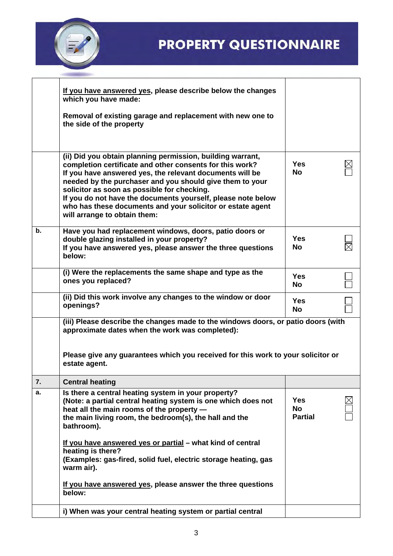

|    | If you have answered yes, please describe below the changes<br>which you have made:<br>Removal of existing garage and replacement with new one to<br>the side of the property                                                                                                                                                                                                                                                                               |                                           |  |
|----|-------------------------------------------------------------------------------------------------------------------------------------------------------------------------------------------------------------------------------------------------------------------------------------------------------------------------------------------------------------------------------------------------------------------------------------------------------------|-------------------------------------------|--|
|    | (ii) Did you obtain planning permission, building warrant,<br>completion certificate and other consents for this work?<br>If you have answered yes, the relevant documents will be<br>needed by the purchaser and you should give them to your<br>solicitor as soon as possible for checking.<br>If you do not have the documents yourself, please note below<br>who has these documents and your solicitor or estate agent<br>will arrange to obtain them: | <b>Yes</b><br><b>No</b>                   |  |
| b. | Have you had replacement windows, doors, patio doors or<br>double glazing installed in your property?<br>If you have answered yes, please answer the three questions<br>below:                                                                                                                                                                                                                                                                              | <b>Yes</b><br><b>No</b>                   |  |
|    | (i) Were the replacements the same shape and type as the<br>ones you replaced?                                                                                                                                                                                                                                                                                                                                                                              | <b>Yes</b><br><b>No</b>                   |  |
|    | (ii) Did this work involve any changes to the window or door<br>openings?                                                                                                                                                                                                                                                                                                                                                                                   | <b>Yes</b><br><b>No</b>                   |  |
|    | (iii) Please describe the changes made to the windows doors, or patio doors (with<br>approximate dates when the work was completed):<br>Please give any guarantees which you received for this work to your solicitor or<br>estate agent.                                                                                                                                                                                                                   |                                           |  |
| 7. | <b>Central heating</b>                                                                                                                                                                                                                                                                                                                                                                                                                                      |                                           |  |
| а. | Is there a central heating system in your property?<br>(Note: a partial central heating system is one which does not<br>heat all the main rooms of the property -<br>the main living room, the bedroom(s), the hall and the<br>bathroom).                                                                                                                                                                                                                   | <b>Yes</b><br><b>No</b><br><b>Partial</b> |  |
|    | If you have answered yes or partial - what kind of central<br>heating is there?<br>(Examples: gas-fired, solid fuel, electric storage heating, gas<br>warm air).                                                                                                                                                                                                                                                                                            |                                           |  |
|    | If you have answered yes, please answer the three questions<br>below:                                                                                                                                                                                                                                                                                                                                                                                       |                                           |  |
|    | i) When was your central heating system or partial central                                                                                                                                                                                                                                                                                                                                                                                                  |                                           |  |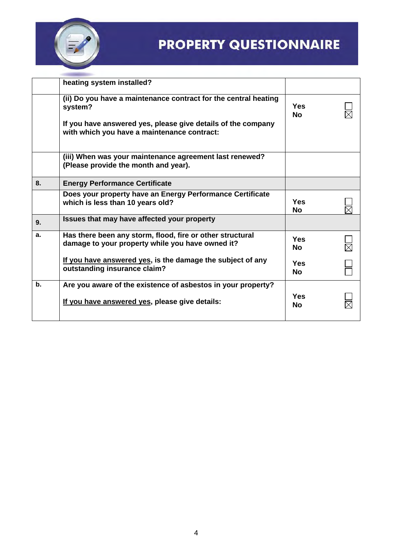

|               | heating system installed?                                                                                     |                         |  |
|---------------|---------------------------------------------------------------------------------------------------------------|-------------------------|--|
|               | (ii) Do you have a maintenance contract for the central heating<br>system?                                    | <b>Yes</b><br><b>No</b> |  |
|               | If you have answered yes, please give details of the company<br>with which you have a maintenance contract:   |                         |  |
|               | (iii) When was your maintenance agreement last renewed?<br>(Please provide the month and year).               |                         |  |
| 8.            | <b>Energy Performance Certificate</b>                                                                         |                         |  |
|               | Does your property have an Energy Performance Certificate<br>which is less than 10 years old?                 | <b>Yes</b><br>No        |  |
| 9.            | Issues that may have affected your property                                                                   |                         |  |
| a.            | Has there been any storm, flood, fire or other structural<br>damage to your property while you have owned it? | Yes<br><b>No</b>        |  |
|               | If you have answered yes, is the damage the subject of any<br>outstanding insurance claim?                    | Yes<br><b>No</b>        |  |
| $\mathbf b$ . | Are you aware of the existence of asbestos in your property?                                                  |                         |  |
|               | If you have answered yes, please give details:                                                                | Yes<br>No               |  |
|               |                                                                                                               |                         |  |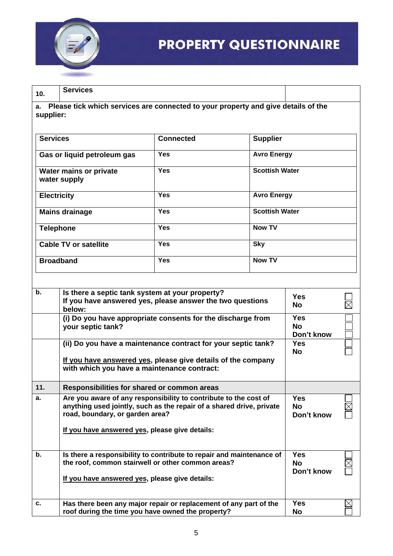

**10. Services**

**a. Please tick which services are connected to your property and give details of the supplier:**

| <b>Services</b>                               | <b>Connected</b> | <b>Supplier</b>       |
|-----------------------------------------------|------------------|-----------------------|
| Gas or liquid petroleum gas                   | <b>Yes</b>       | <b>Avro Energy</b>    |
| <b>Water mains or private</b><br>water supply | <b>Yes</b>       | <b>Scottish Water</b> |
| <b>Electricity</b>                            | <b>Yes</b>       | <b>Avro Energy</b>    |
| <b>Mains drainage</b>                         | <b>Yes</b>       | <b>Scottish Water</b> |
| <b>Telephone</b>                              | <b>Yes</b>       | <b>Now TV</b>         |
| <b>Cable TV or satellite</b>                  | <b>Yes</b>       | <b>Sky</b>            |
| <b>Broadband</b>                              | <b>Yes</b>       | <b>Now TV</b>         |

| $\overline{b}$ . | Is there a septic tank system at your property?<br>If you have answered yes, please answer the two questions<br>below:                                                                                                        | Yes<br><b>No</b>                      |  |
|------------------|-------------------------------------------------------------------------------------------------------------------------------------------------------------------------------------------------------------------------------|---------------------------------------|--|
|                  | (i) Do you have appropriate consents for the discharge from<br>your septic tank?                                                                                                                                              | <b>Yes</b><br><b>No</b><br>Don't know |  |
|                  | (ii) Do you have a maintenance contract for your septic tank?                                                                                                                                                                 | <b>Yes</b><br><b>No</b>               |  |
|                  | If you have answered yes, please give details of the company<br>with which you have a maintenance contract:                                                                                                                   |                                       |  |
| 11.              | Responsibilities for shared or common areas                                                                                                                                                                                   |                                       |  |
| a.               | Are you aware of any responsibility to contribute to the cost of<br>anything used jointly, such as the repair of a shared drive, private<br>road, boundary, or garden area?<br>If you have answered yes, please give details: | Yes<br><b>No</b><br>Don't know        |  |
|                  |                                                                                                                                                                                                                               |                                       |  |
| $b$ .            | Is there a responsibility to contribute to repair and maintenance of<br>the roof, common stairwell or other common areas?<br>If you have answered yes, please give details:                                                   | <b>Yes</b><br><b>No</b><br>Don't know |  |
|                  |                                                                                                                                                                                                                               |                                       |  |
| c.               | Has there been any major repair or replacement of any part of the<br>roof during the time you have owned the property?                                                                                                        | <b>Yes</b><br>No                      |  |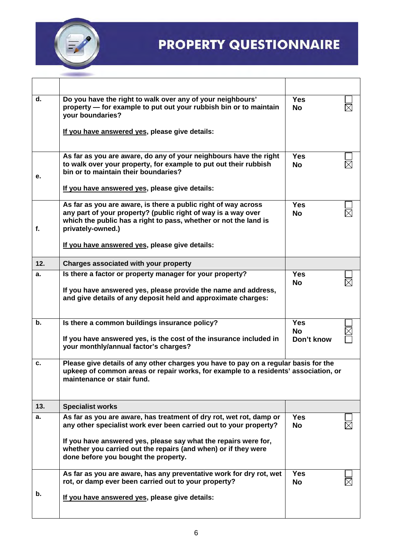

| d.  | Do you have the right to walk over any of your neighbours'<br>property — for example to put out your rubbish bin or to maintain<br>your boundaries?                                                                      | <b>Yes</b><br><b>No</b> |  |
|-----|--------------------------------------------------------------------------------------------------------------------------------------------------------------------------------------------------------------------------|-------------------------|--|
|     | If you have answered yes, please give details:                                                                                                                                                                           |                         |  |
| е.  | As far as you are aware, do any of your neighbours have the right<br>to walk over your property, for example to put out their rubbish<br>bin or to maintain their boundaries?                                            | <b>Yes</b><br><b>No</b> |  |
|     | If you have answered yes, please give details:                                                                                                                                                                           |                         |  |
| f.  | As far as you are aware, is there a public right of way across<br>any part of your property? (public right of way is a way over<br>which the public has a right to pass, whether or not the land is<br>privately-owned.) | <b>Yes</b><br>No        |  |
|     | If you have answered yes, please give details:                                                                                                                                                                           |                         |  |
| 12. | Charges associated with your property                                                                                                                                                                                    |                         |  |
| a.  | Is there a factor or property manager for your property?                                                                                                                                                                 | <b>Yes</b>              |  |
|     | If you have answered yes, please provide the name and address,<br>and give details of any deposit held and approximate charges:                                                                                          | <b>No</b>               |  |
| b.  | Is there a common buildings insurance policy?                                                                                                                                                                            | <b>Yes</b><br><b>No</b> |  |
|     | If you have answered yes, is the cost of the insurance included in<br>your monthly/annual factor's charges?                                                                                                              | Don't know              |  |
| c.  | Please give details of any other charges you have to pay on a regular basis for the<br>upkeep of common areas or repair works, for example to a residents' association, or<br>maintenance or stair fund.                 |                         |  |
| 13. | <b>Specialist works</b>                                                                                                                                                                                                  |                         |  |
| a.  | As far as you are aware, has treatment of dry rot, wet rot, damp or<br>any other specialist work ever been carried out to your property?                                                                                 | <b>Yes</b><br><b>No</b> |  |
|     | If you have answered yes, please say what the repairs were for,<br>whether you carried out the repairs (and when) or if they were<br>done before you bought the property.                                                |                         |  |
|     | As far as you are aware, has any preventative work for dry rot, wet<br>rot, or damp ever been carried out to your property?                                                                                              | <b>Yes</b><br>No        |  |
| b.  | If you have answered yes, please give details:                                                                                                                                                                           |                         |  |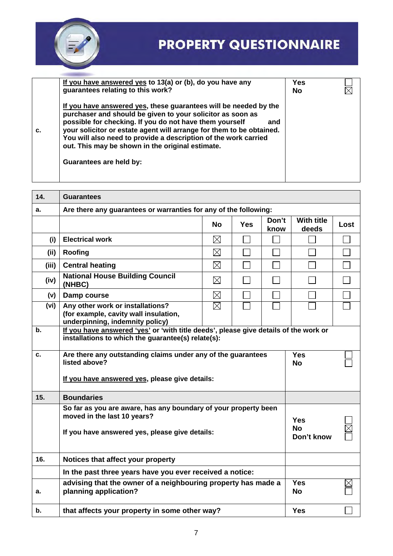

| If you have answered yes to 13(a) or (b), do you have any<br>guarantees relating to this work?                                                                                                                                                                                                                                                                                                  | <b>Yes</b><br><b>No</b> |  |
|-------------------------------------------------------------------------------------------------------------------------------------------------------------------------------------------------------------------------------------------------------------------------------------------------------------------------------------------------------------------------------------------------|-------------------------|--|
| If you have answered yes, these guarantees will be needed by the<br>purchaser and should be given to your solicitor as soon as<br>possible for checking. If you do not have them yourself<br>and<br>your solicitor or estate agent will arrange for them to be obtained.<br>You will also need to provide a description of the work carried<br>out. This may be shown in the original estimate. |                         |  |
| Guarantees are held by:                                                                                                                                                                                                                                                                                                                                                                         |                         |  |

| 14.   | <b>Guarantees</b>                                                                                                                                |             |            |               |                                 |      |  |
|-------|--------------------------------------------------------------------------------------------------------------------------------------------------|-------------|------------|---------------|---------------------------------|------|--|
| a.    | Are there any guarantees or warranties for any of the following:                                                                                 |             |            |               |                                 |      |  |
|       |                                                                                                                                                  | <b>No</b>   | <b>Yes</b> | Don't<br>know | <b>With title</b><br>deeds      | Lost |  |
| (i)   | <b>Electrical work</b>                                                                                                                           | $\times$    |            |               |                                 |      |  |
| (ii)  | <b>Roofing</b>                                                                                                                                   | $\boxtimes$ |            |               |                                 |      |  |
| (iii) | <b>Central heating</b>                                                                                                                           | $\boxtimes$ |            |               |                                 |      |  |
| (iv)  | <b>National House Building Council</b><br>(NHBC)                                                                                                 | $\boxtimes$ |            |               |                                 |      |  |
| (v)   | Damp course                                                                                                                                      | $\boxtimes$ |            |               |                                 |      |  |
| (vi)  | Any other work or installations?<br>(for example, cavity wall insulation,<br>underpinning, indemnity policy)                                     | $\boxtimes$ |            |               |                                 |      |  |
| b.    | If you have answered 'yes' or 'with title deeds', please give details of the work or<br>installations to which the guarantee(s) relate(s):       |             |            |               |                                 |      |  |
| c.    | Are there any outstanding claims under any of the guarantees<br>listed above?<br>If you have answered yes, please give details:                  |             |            |               | <b>Yes</b><br><b>No</b>         |      |  |
| 15.   | <b>Boundaries</b>                                                                                                                                |             |            |               |                                 |      |  |
|       | So far as you are aware, has any boundary of your property been<br>moved in the last 10 years?<br>If you have answered yes, please give details: |             |            |               | <b>Yes</b><br>No.<br>Don't know |      |  |
| 16.   | Notices that affect your property                                                                                                                |             |            |               |                                 |      |  |
|       | In the past three years have you ever received a notice:                                                                                         |             |            |               |                                 |      |  |
| a.    | advising that the owner of a neighbouring property has made a<br>planning application?                                                           |             |            |               | <b>Yes</b><br><b>No</b>         |      |  |
| b.    | that affects your property in some other way?                                                                                                    |             |            |               | <b>Yes</b>                      |      |  |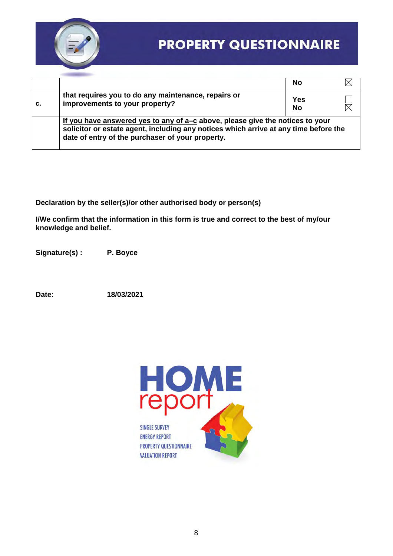

|    |                                                                                                                                                                                                                           | No        |  |
|----|---------------------------------------------------------------------------------------------------------------------------------------------------------------------------------------------------------------------------|-----------|--|
| С. | that requires you to do any maintenance, repairs or<br>improvements to your property?                                                                                                                                     | Yes<br>No |  |
|    | If you have answered yes to any of a-c above, please give the notices to your<br>solicitor or estate agent, including any notices which arrive at any time before the<br>date of entry of the purchaser of your property. |           |  |

**Declaration by the seller(s)/or other authorised body or person(s)** 

**I/We confirm that the information in this form is true and correct to the best of my/our knowledge and belief.** 

**Signature(s) : P. Boyce** 

**Date: 18/03/2021**